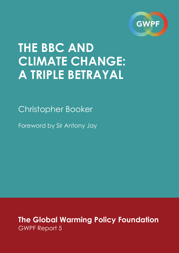

## **The BBC and climate Change: A Triple Betrayal**

Christopher Booker

Foreword by Sir Antony Jay

**The Global Warming Policy Foundation** GWPF Report 5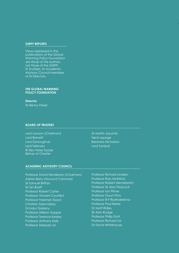#### **GWPF Reports**

Views expressed in the publications of the *Global Warming Policy Foundation* are those of the authors, not those of the GWPF, its Trustees, its Academic Advisory Council members or its Directors.

#### **The Global Warming Policy Foundation**

#### **Director**

Dr Benny Peiser

#### **Board of Trustees**

Lord Lawson (Chairman) Lord Barnett Lord Donoughue Lord Fellowes Rt Rev Peter Forster Bishop of Chester

Sir Martin Jacomb Henri Lepage Baroness Nicholson Lord Turnbull

#### **Academic Advisory Council**

Professor David Henderson (Chairman) Adrian Berry (Viscount Camrose) Sir Samuel Brittan Sir Ian Byatt Professor Robert Carter Professor Vincent Courtillot Professor Freeman Dyson Christian Gerondeau Dr Indur Goklany Professor William Happer Professor Terence Kealey Professor Anthony Kelly Professor Deepak Lal

Professor Richard Lindzen Professor Ross McKitrick Professor Robert Mendelsohn Professor Sir Alan Peacock Professor Ian Plimer Professor Gwyn Prins Professor B P Radhakrishna Professor Paul Reiter Dr Matt Ridley Sir Alan Rudge Professor Philip Stott Professor Richard Tol Dr David Whitehouse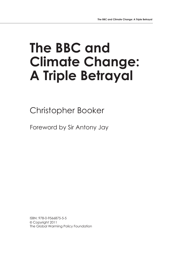# **The BBC and Climate Change: A Triple Betrayal**

## Christopher Booker

Foreword by Sir Antony Jay

ISBN: 978-0-9566875-5-5 © Copyright 2011 The Global Warming Policy Foundation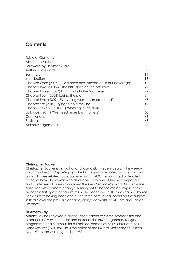## **Contents**

| <b>Table of Contents</b>                                     | 4  |
|--------------------------------------------------------------|----|
| About the Author                                             | 4  |
| Foreword by Sir Antony Jay                                   | 5  |
| Author's Foreword                                            | 8  |
| Summary                                                      | 11 |
| Introduction                                                 | 13 |
| Chapter One: (2005-6) 'We have now moved on in our coverage' | 16 |
| Chapter Two: (2006-7) The BBC goes on the offensive          | 22 |
| Chapter Three: (2007) First cracks In the 'consensus'        | 29 |
| Chapter Four: (2008) Losing the plot                         | 34 |
| Chapter Five: (2009) 'Everything worse than predicted'       | 43 |
| Chapter Six: (2010) Trying to hold the line                  | 49 |
| Chapter Seven: (2010-11) Whistling in the dark               | 55 |
| Epilogue: (2011) 'We need more bias, not less'               | 60 |
| Conclusions                                                  | 63 |
| Postscript                                                   | 68 |
| Acknowledgements                                             | 74 |

## **Christopher Booker**

Christopher Booker is an author and journalist. In recent years, in his weekly column in the *Sunday Telegraph*, he has regularly reported on scientific and political issues related to global warming. In 2009 he published a detailed history of how global warming developed into one of the most important and controversial issues of our time: *The Real Global Warming Disaster: Is the obsession with 'climate change' turning out to be the most costly scientific blunder in history?* (Continuum, 2009). In December 2010 it was named by *The Bookseller* as having been one of the three best-selling books on the subject in Britain over the previous decade, alongside works by Al Gore and James Lovelock.

## **Sir Antony Jay**

Antony Jay has enjoyed a distinguished career as writer, broadcaster and producer. He was a founder and editor of the BBC's legendary *Tonight* programme and is famous for his political comedies *Yes Minister* and *Yes, Prime Minister* (1980-88). He is the editor of *The Oxford Dictionary of Political Quotations*. He was knighted in 1988.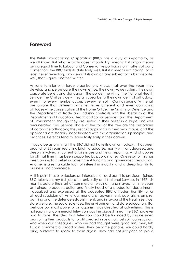## **Foreword**

The British Broadcasting Corporation (BBC) has a duty of impartiality, as we all know. But what exactly does 'impartiality' mean? If it simply means giving equal time to Labour and Conservative politicians on matters of party contention, the BBC fulfils its duty fairly well. But if it means not having, or at least never revealing, any views of its own on any subject of public debate, well, that is quite another matter.

Anyone familiar with large organisations knows that over the years they develop and perpetuate their own ethos, their own value system, their own corporate beliefs and standards. The police, the Army, the National Health Service, the Civil Service – they all subscribe to their own central orthodoxy, even if not every member accepts every item of it. Connoisseurs of Whitehall are aware that different Ministries have different and even conflicting attitudes – the conservatism of the Home Office, the Ministry of Defence and the Department of Trade and Industry contrasts with the liberalism of the Departments of Education, Health and Social Services and the Department of Environment, though they are united in their belief in a large and well remunerated Civil Service. Those at the top of the tree are the custodians of corporate orthodoxy; they recruit applicants in their own image, and the applicants are steadily indoctrinated with the organisation's principles and practices. Heretics tend to leave fairly early in their careers.

It would be astonishing if the BBC did not have its own orthodoxy. It has been around for 85 years, recruiting bright graduates, mostly with arts degrees, and deeply involved in current affairs issues and news reporting. And of course for all that time it has been supported by public money. One result of this has been an implicit belief in government funding and government regulation. Another is a remarkable lack of interest in industry and a deep hostility to business and commerce.

At this point I have to declare an interest, or at least admit to previous. I joined BBC television, my first job after university and National Service, in 1955, six months before the start of commercial television, and stayed for nine years as trainee, producer, editor and finally head of a production department. I absorbed and expressed all the accepted BBC attitudes: hostility to, or at least suspicion of, America, monarchy, government, capitalism, empire, banking and the defence establishment, and in favour of the Health Service, state welfare, the social sciences, the environment and state education. But perhaps our most powerful antagonism was directed at advertising. This is not surprising; commercial television was the biggest threat the BBC had ever had to face. The idea that television should be financed by businessmen promoting their products for profit created in us an almost spiritual revulsion. And when our colleagues, who we had thought were good BBC men, left to join commercial broadcasters, they became pariahs. We could hardly bring ourselves to speak to them again. They had not just gone to join a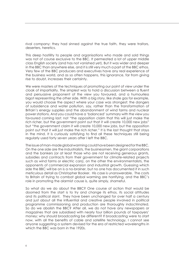rival company; they had sinned against the true faith, they were traitors, deserters, heretics.

This deep hostility to people and organisations who made and sold things was not of course exclusive to the BBC. It permeated a lot of upper middle class English society (and has not vanished yet). But it was wider and deeper in the BBC than anywhere else, and it is still very much a part of the BBC ethos. Very few of the BBC producers and executives have any real experience of the business world, and as so often happens, this ignorance, far from giving rise to doubt, increases their certainty.

We were masters of the techniques of promoting our point of view under the cloak of impartiality. The simplest was to hold a discussion between a fluent and persuasive proponent of the view you favoured, and a humourless bigot representing the other side. With a big story, like shale gas for example, you would choose the aspect where your case was strongest: the dangers of subsidence and water pollution, say, rather than the transformation of Britain's energy supplies and the abandonment of wind farms and nuclear power stations. And you could have a 'balanced' summary with the view you favoured coming last: not "the opposition claim that this will just make the rich richer, but the government point out that it will create 10,000 new jobs" but "the government claim it will create 10,000 new jobs, but the opposition point out that it will just make the rich richer." It is the last thought that stays in the mind. It is curiously satisfying to find all these techniques still being regularly used forty seven years after I left the BBC.

The issue of man-made global warming could have been designed for the BBC. On the one side are the industrialists, the businessmen, the giant corporations and the bankers (or at least those who are not receiving generous grants, subsidies and contracts from their government for climate-related projects such as wind farms or electric cars), on the other the environmentalists, the opponents of commercial expansion and industrial growth. Guessing which side the BBC will be on is a no-brainer, but no one has documented it in such meticulous detail as Christopher Booker. His case is unanswerable. The costs to Britain of trying to combat global warming are horrifying, and the BBC's role in promoting the alarmist cause is, quite simply, shameful.

So what do we do about the BBC? One course of action that would be doomed from the start is to try and change its ethos, its social attitudes and its political slant. They have been unchanged for over half a century and just about all the influential and creative people involved in political programme commissioning and production are thoroughly indoctrinated. So do we abolish the BBC? After all, we do not have any newspapers or magazines that are subsidised with nearly four billion pounds of taxpayers' money; why should broadcasting be different? If broadcasting were to start now, with all the benefits of cable and satellite technology, I cannot see anyone suggesting a system devised for the era of restricted wavelengths in which the BBC was born in the 1920s.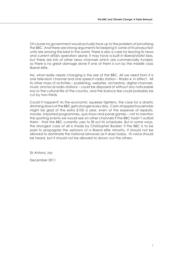Of course no government would actually face up to the problem of privatising the BBC. And there are strong arguments for keeping it: some of its production units are among the best in the world. There is also a case for leaving its news and current affairs operation alone; it may have a built-in liberal/statist bias, but there are lots of other news channels which are commercially funded, so there is no great damage done if one of them is run by the middle class liberal elite.

No, what really needs changing is the size of the BBC. All we need from it is one television channel and one speech radio station – Radio 4, in effect. All its other mass of activities – publishing, websites, orchestras, digital channels, music and local radio stations – could be disposed of without any noticeable loss to the cultural life of the country, and the licence fee could probably be cut by two-thirds.

Could it happen? As the economic squeeze tightens, the case for a drastic slimming down of the BBC gets stronger every day. Cash-strapped households might be glad of the extra £100 a year, even at the expense of repeats, movies, imported programmes, quiz show and panel games – not to mention the sporting events we would see on other channels if the BBC hadn't outbid them - that the BBC currently uses to fill out its schedules. But in some ways, the strongest case of all is made by Christopher Booker: if the BBC is to be paid to propagate the opinions of a liberal elite minority, it should not be allowed to dominate the national airwaves as it does today. Its voice should be heard, but it should not be allowed to drown out the others.

Sir Antony Jay

December 2011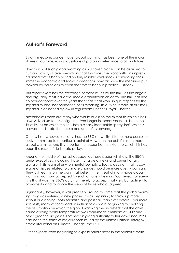## **Author's Foreword**

By any measure, concern over global warming has been one of the major stories of our time, raising questions of profound relevance to all our futures.

How much of such global warming as has taken place can be ascribed to human activity? Have predictions that this faces the world with an unprecedented threat been based on truly reliable evidence? Considering their immense economic and social implications, how far have the measures put forward by politicians to avert that threat been in practice justified?

This report examines the coverage of these issues by the BBC, as the largest and arguably most influential media organisation on earth. The BBC has had no prouder boast over the years than that it has won unique respect for the impartiality and independence of its reporting. Its duty to remain at all times impartial is enshrined by law in regulations under its Royal Charter.

Nevertheless there are many who would question the extent to which it has always lived up to this obligation. Ever longer in recent years has been the list of issues on which the BBC has a clearly identifiable 'party line', which is allowed to dictate the nature and slant of its coverage.

On few issues, however, if any, has the BBC shown itself to be more conspicuously committed to a particular point of view than the belief in man-made global warming. And it is important to recognise the extent to which this has been the result of deliberate policy.

Around the middle of the last decade, as these pages will show, the BBC's senior executives, including those in charge of news and current affairs, along with its team of environmental journalists, took a decision that its coverage on issues related to climate change should be more overtly partisan. They justified this on the basis that belief in the threat of man-made global warming was now accepted by such an overwhelming 'consensus' of scientists that it was the BBC's duty not merely to accept that view but actively to promote it - and to ignore the views of those who disagreed.

Significantly, however, it was precisely around this time that the global warming story was entering a new phase. It was beginning to throw up more serious questioning, both scientific and political, than ever before. Ever more scientists, many of them leaders in their fields, were beginning to challenge the assumption on which the global warming theory rested: that the chief cause of rising world temperatures was man-made emissions of CO2 and other greenhouse gases. Foremost in giving authority to this view since 1990 had been the series of major reports issued by the United Nations' Intergovernmental Panel on Climate Change, the IPCC.

Other experts were beginning to expose serious flaws in the scientific meth-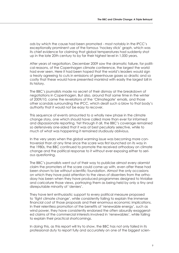ods by which the cause had been promoted - most notably in the IPCC's exceptionally prominent use of the famous 'hockey stick' graph, which was its chief evidence for claiming that global temperatures had suddenly shot up in the late 20th century to by far their highest level in 1,000 years.

After years of negotiation, December 2009 saw the dramatic failure, for political reasons, of the Copenhagen climate conference, the largest the world had ever seen. Here it had been hoped that the world's leaders would sign a treaty agreeing to cuts in emissions of greenhouse gases so drastic and so costly that these would have presented mankind with easily the largest bill in its history.

The BBC's journalists made no secret of their dismay at the breakdown of negotiations in Copenhagen. But also, around that same time in the winter of 2009/10, came the revelations of the 'Climategate' emails, and those other scandals surrounding the IPCC, which dealt such a blow to that body's authority that it would not be easy to recover.

This sequence of events amounted to a wholly new phase in the climate change story, one which should have called more than ever for informed and dispassionate reporting. Yet through it all, the BBC's coverage remained so defensively one-sided that it was at best peculiarly selective, while to much of what was happening it remained studiously oblivious.

In the very years when the global warming issue was becoming more controversial than at any time since the scare was first launched on its way in the 1980s, the BBC continued to promote the received orthodoxy on climate change and the political response to it without ever exposing either to serious questioning.

The BBC's journalists went out of their way to publicise almost every alarmist claim the promoters of the scare could come up with, even after these had been shown to be without scientific foundation. Almost the only occasions on which they have paid attention to the views of dissenters from the orthodoxy has been when they have produced programmes designed to trivialise and caricature those views, portraying them as being held by only a tiny and disreputable minority of 'deniers'.

They have lent enthusiastic support to every political measure proposed to 'fight climate change', while consistently failing to explain the immense financial cost of those proposals and their enormous economic implications. In their relentless promotion of the benefits of 'renewable energy', such as wind power, they have consistently endorsed the often absurdly exaggerated claims of the commercial interests involved in 'renewables', while failing to explain their practical shortcomings.

In doing this, as this report will try to show, the BBC has not only failed in its professional duty to report fully and accurately on one of the biggest scien-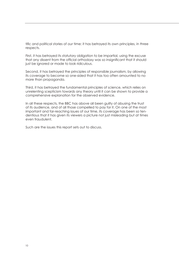tific and political stories of our time: it has betrayed its own principles, in three respects.

First, it has betrayed its statutory obligation to be impartial, using the excuse that any dissent from the official orthodoxy was so insignificant that it should just be ignored or made to look ridiculous.

Second, it has betrayed the principles of responsible journalism, by allowing its coverage to become so one-sided that it has too often amounted to no more than propaganda.

Third, it has betrayed the fundamental principles of science, which relies on unrelenting scepticism towards any theory until it can be shown to provide a comprehensive explanation for the observed evidence.

In all these respects, the BBC has above all been guilty of abusing the trust of its audience, and of all those compelled to pay for it. On one of the most important and far-reaching issues of our time, its coverage has been so tendentious that it has given its viewers a picture not just misleading but at times even fraudulent.

Such are the issues this report sets out to discuss.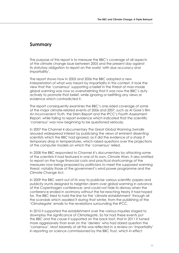## **Summary**

The purpose of this report is to measure the BBC's coverage of all aspects of the climate change issue between 2005 and the present day against its statutory obligation to report on the world 'with due accuracy and impartialitly'.

The report shows how in 2005 and 2006 the BBC adopted a new interpretation of what was meant by impartiality in this context. It took the view that the 'consensus' supporting a belief in the threat of man-made global warming was now so overwhelming that it was now the BBC's duty actively to promote that belief, while ignoring or belittling any views or evidence which contradicted it.

The report consequently examines the BBC's one-sided coverage of some of the major climate-related events of 2006 and 2007, such as Al Gore's film *An Inconvenient Truth*, the Stern Report and the IPCC's Fourth Assessment Report, while failing to report evidence which indicated that the scientific 'consensus' was now beginning to be questioned seriously.

In 2007 the Channel 4 documentary *The Great Global Warming Swindle* aroused widespread interest by publicising the views of eminent dissenting scientists which the BBC had ignored, as it did the evidence of a sharp if temporary drop in temperatures, which raised questions over the projections of the computer models on which the 'consensus' relied.

In 2008 the BBC responded to Channel 4's documentary by attacking some of the scientists it had featured in one of its own, *Climate Wars*. It also omitted to report on the huge financial costs and practical shortcomings of the measures now being proposed by politicians to meet the supposed warming threat, notably those of the government's wind power programme and the Climate Change Act.

In 2009 the BBC went out of its way to publicise various scientific papers and publicity stunts designed to heighten alarm over global warming in advance of the Copenhagen conference; and could not hide its dismay when the conference ended in acrimony without the far-reaching treaty it had hoped for. The BBC tried to hold the line for the 'climate establishment' through all the scandals which assailed it during that winter, from the publishing of the 'Climategate' emails to the revelations surrounding the IPCC.

In 2010 it supported the establishment over the various inquiries staged to downplay the significance of Climategate. So far had these events put the BBC and the cause it supported on the back foot, that in 2011 it turned more aggressively than ever on the 'deniers' who had dared question the 'consensus'. Most bizarrely of all this was reflected in a review on 'impartiality' in reporting on science commissioned by the BBC Trust, which in effect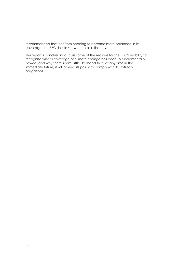recommended that, far from needing to become more balanced in its coverage, the BBC should show more bias than ever.

This report's conclusions discuss some of the reasons for the BBC's inability to recognise why its coverage of climate change has been so fundamentally flawed, and why there seems little likelihood that, at any time in the immediate future, it will amend its policy to comply with its statutory obligations.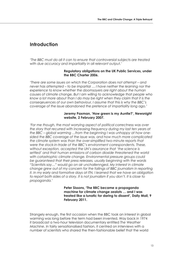## **Introduction**

*'The BBC must do all it can to ensure that controversial subjects are treated with due accuracy and impartiality in all relevant output.'*

#### **Regulatory obligations on the UK Public Services, under the BBC Charter 2006.**

*'There are some issues on which the Corporation does not attempt – and never has attempted – to be impartial … I have neither the learning nor the experience to know whether the doomsayers are right about the human causes of climate change, But I am willing to acknowledge that people who know a lot more about than I do may be right when they claim that it is the conseqeuences of our own behaviour, I assume that this is why the BBC's coverage of the issue abandoned the pretence of impartiality long ago.'*

#### **Jeremy Paxman, 'How green is my Auntie?', Newsnight website, 2 February 2007.**

*'For me though, the most worrying aspect of political correctness was over the story that recurred with increasing frequency during my last ten years at the BBC – global warming …from the beginning I was unhappy at how onesided the BBC coverage of the issue was, and how much more complicated the climate system was than the over-simplified two-minute reports that were the stock-in-trade of the BBC's environment correspondents. These, without exception, accepted the UN's assurance that 'the science is settled' and that human emissions of carbon dioxide threatened the world with catastrophic climate change. Environmental pressure groups could be guaranteed that their press releases, usually beginning with the words "Scientists say…" would go on air unchallennged. My interest in climate change grew out of my concern for the failings of BBC journalism in reporting it. In my early and formative days at ITN, I learned that we have an obligation to report both sides of a story. It is not journalism if you don't. It is close to propaganda.'*

> **Peter Sissons, 'The BBC became a propaganda machine for climate change zealots … and I was treated like a lunatic for daring to dissent', Daily Mail, 9 February 2011.**

Strangely enough, the first occasion when the BBC took an interest in global warming was long before the term had been invented. Way back in 1974 it broadcast a two-hour television documentary entitled *The Weather Machine*. In fairly sensationalised fashion, it centred on interviews with a number of scientists who shared the then-fashionable belief that the world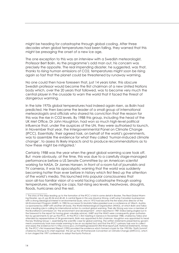might be heading for catastrophe through global cooling. After three decades when global temperatures had been falling, they warned that this might be presaging the onset of a new ice age,

The one exception to this was an interview with a Swedish meteorologist, Professor Bert Bolin. As the programme's odd man out, his concern was precisely the opposite. The real impending disaster, he suggested, was that, thanks to rising human emissions of CO2, temperatures might soon be rising again so fast that the planet could be threatened by runaway warming.

No one could then have foreseen that, just 14 years later, this obscure Swedish professor would become the first chairman of a new United Nations body which, over the 20 years that followed, was to become very much the central player in the crusade to warn the world that it faced the threat of dangerous warming.

In the late 1970s global temperatures had indeed again risen, as Bolin had predicted. He then became the leader of a small group of international meteorologists and officials who shared his conviction that the reason for this was the rise in CO2 levels. By 1988 this group, including the head of the UK Met Office, Dr John Houghton, had won so much high-level political influence that, under the auspices of the UN, they were authorised to launch, in November that year, the Intergovernmental Panel on Climate Change (IPCC). Essentially, their agreed task, on behalf of the world's governments, was to assemble the evidence for what they called 'human-induced climate change', to assess its likely impacts and to produce recommendations as to how these might be mitigated.<sup>1</sup>

Certainly 1988 was the year when the great global warming scare took off. But more obviously, at the time, this was due to a carefully stage-managed performance before a US Senate Committee by an American scientist working for NASA, Dr James Hansen. In front of a room-full of journalists and TV cameras, it was his apocalyptic warning that the world was suddenly becoming hotter than ever before in history which first fired up the attention of the world's media. This launched into popular consciousness that soon all-too familiar vision of a world facing catastrophe through soaring temperatures, melting ice caps, fast-rising sea levels, heatwaves, droughts, floods, hurricanes and the rest.

<sup>1</sup> The story of the steps leading up to the formation of the IPCC is told in some detail in Booker, The Real Global Warming Disaster, op.cit.,pp.30-34 and 40-43. A central figure in this was Maurice Strong, a left-wing Canadian businessman with a strong ideological interest in environmental issues, who in 1972 had become the first executive director of the UN Environment Program (UNEP). In 1985 his successor Dr Mustafa Tolba presided over a conference at Villach, Austria, co-sponsored by UNEP with another UN body, the World Meteorological Organisation (WMO), at which Bolin and Tolba took a leading role in calling for international action to combat global warming. Their ally Strong was now a member of the Brundtland Commission on 'the environment and development', which reported in 1987 (Tolba being singled out in the foreword to the report for having given valuable advice). UNEP and the WMO were consequently given authorisation by governments to set up the IPCC. At the IPCC's first meeting in Geneva in November 1988, chaired by Tolba and attended by representatives of 34 governments, Bolin was appointed its first chairman. Houghton was appointed to head the key Working Group 1, assembling the scientific case for global warming. The written statements presented by governments unanimously took man-made warming to be an accepted fact and that the IPCC's primary task was to collect and assess the evidence for it ( http://www.ipcc.ch/meetings/session01/first-final-report.pdf, National Statements, Annex III), The IPCC's first Assessment Report (1990) provided the evidence which formed a basis for the 1992 Rio 'Earth Summit', chaired by Strong as its chief organiser. This set up the UN Framework Convention on Climate Change (UNFCCC), which in turn staged the 1997 conference to adopt the Kyoto Protocol.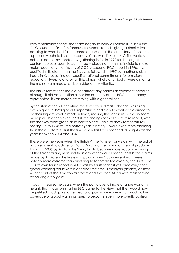With remarkable speed, the scare began to carry all before it. In 1990 the IPCC issued the first of its famous assessment reports, giving authoritative backing to what had fast become accepted as the orthodoxy of the time, supposedly upheld by a 'consensus of the world's scientists'. The world's political leaders responded by gathering in Rio in 1992 for the largest conference ever seen, to sign a treaty pledging them in principle to make major reductions in emissions of CO2. A second IPCC report in 1996, less qualified in its alarm than the first, was followed in 1997 by another global treaty in Kyoto, setting out specific national commitments for emissions reductions. Swept along by all this, almost wholly uncritically, were almost all the mainstream media, on both sides of the Atlantic.

The BBC's role at this time did not attract any particular comment because, although it did not question either the authority of the IPCC or the theory it represented, it was merely swimming with a general tide.

By the start of the 21st century, the fever over climate change was rising even higher. In 1998 global temperatures had risen to what was claimed to be their highest level in modern times, making the 'consensus' theory seem more plausible than ever. In 2001 the findings of the IPCC's third report, with the 'hockey stick' graph as its centrepiece – able to show temperatures soaring up to 1998 as 'the hottest year in history' - were even more alarming than those before it. But the time when this fever reached its height was the years between 2004 and 2007.

These were the years when the British Prime Minister Tony Blair, with the aid of his chief scientific adviser Sir David King and the mammoth report produced for him in 2006 by Sir Nicholas Stern, bid to become more vocal in warning of the threat facing mankind than any other world leader. In 2006 the claims made by Al Gore in his hugely popular film *An Inconvenient Truth* were notably more extreme than anything so far predicted even by the IPCC. The IPCC's own fourth report in 2007 was by far its scariest yet, predicting that global warming could within decades melt the Himalayan glaciers, destroy 40 per cent of the Amazon rainforest and threaten Africa with mass famine by halving crop yields.

It was in these same years, when the panic over climate change was at its height, that those running the BBC came to the view that they would now be justified in adopting a new editorial policy line – one which would allow its coverage of global warming issues to become even more overtly partisan.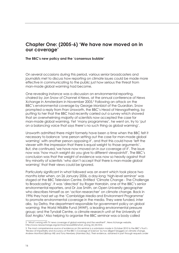## **Chapter One: (2005-6) 'We have now moved on in our coverage'**

### **The BBC's new policy and the 'consensus bubble'**

On several occasions during this period, various senior broadcasters and journalists met to discuss how reporting on climate issues could be made more effective in communicating to the public just how serious the threat from man-made global warming had become.

One revealing instance was a discussion on environmental reporting, chaired by Jon Snow of Channel 4 News, at the annual conference of News Xchange in Amsterdam in November 2005.2 Following an attack on the BBC's environmental coverage by George Monbiot of the Guardian, Snow prompted a reply from Fran Unsworth, the BBC's Head of Newsgathering, by putting to her that the BBC had recently carried out a survey which showed that an overwhelming majority of scientists now accepted the case for man-made global warming. Yet 'many programmes', he went on, try to 'put on a balancing voice that says there's no such thing as global warming'.

Unsworth admitted there might formerly have been a time when the BBC felt it necessary to balance 'one person setting out the case for man-made global warming' with another person opposing it', and that this could have 'left the viewer with the impression that there is equal weight to those arguments'. But, she continued,'we have now moved on in our coverage of it'. The issue now was 'how much weight do you give to different viewpoints?'. The BBC's conclusion was that the weight of evidence was now so heavily against that tiny minority of scientists 'who don't accept that there is man-made global warming' that their views could be ignored.

Particularly significant in what followed was an event which took place two months later when, on 26 January 2006, a day-long 'high-level seminar' was staged at the BBC Television Centre. Entitled 'Climate Change - The Challenge to Broadcasting'. It was 'directed' by Roger Harrabin, one of the BBC's senior environmental reporters, and Dr Joe Smith, an Open University geographer who describes himself as an 'action researcher' on climate change. Back in 1996 they had set up the 'Cambridge Media and Environment Programme' to promote environmental coverage in the media. They were funded, inter alia, by Defra, the department responsible for government policy on global warming; the World Wildlife Fund (WWF), a leading environmental pressure group; and the Tyndall Centre, a climate research unit at the University of East Anglia.<sup>3</sup> Also helping to organise the BBC seminar was a body called

<sup>2 &#</sup>x27;What's wrong with TV news coverage of global warming and the weather?', News Xchange website, http://www.newsxchange.org/archive/newsx2005/what\_wrong\_02\_05.html.

<sup>3</sup> The most comprehensive source of evidence on this seminar is a submission made in October 2010 to the BBC's Trust's 'Review of Impartiality and Accuracy of the BBC's Coverage of Science' by two diligent bloggers on climate change, Andrew Montford (*Bishop Hill)* and Tony Newbery (*Harmless Sky*). Their evidence, obtained in part through requests under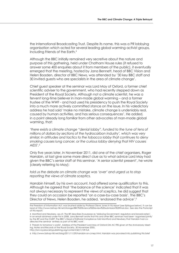the International Broadcasting Trust. Despite its name, this was a PR lobbying organisation which acted for several leading global warming activist groups, including Friends of the Earth.4

Although the BBC initially remained very secretive about the nature and purpose of this gathering, held under Chatham House rules (it refused to answer some 400 enquiries about it from members of the public), it eventually emerged that the meeting, hosted by Jana Bennett, head of BBC Vision and Helen Boaden, director of BBC News, was attended by '30 key BBC staff and 30 invited guests who are specialists in the area of climate change'.

Chief guest speaker at the seminar was Lord May of Oxford, a former chief scientific adviser to the government, who had recently stepped down as President of the Royal Society. Although not a climate scientist, he was a fervent long-time believer in man-made global warming – and a former trustee of the WWF - and had used his presidency to push the Royal Society into a much more actively committed stance on the issue. In his valedictory address he had said 'make no mistake, climate change is undeniably real, caused by human activities, and has serious consequences'. He added, in a point already long familiar from other advocates of man-made global warming, that:

*'there exists a climate change "denial lobby", funded to the tune of tens of millions of dollars by sections of the hydrocarbon industry', which was very similar; in attitudes and tactics to the tobacco lobby that continues to deny smoking causes lung cancer, or the curious lobby denying that HIV causes AIDS'.5*

Only five years later, in November 2011, did one of the chief organisers, Roger Harrabin, at last give some more direct clue as to what advice Lord May had given the BBC's senior staff at this seminar. 'A senior scientist present', he wrote (clearly referring to May):

*told us the debate on climate change was 'over' and urged us to stop reporting the views of climate sceptics.*

Harrabin himself, by his own account, had offered some qualification to this. Although he agreed that 'the balance of the science' indicated that it was not always necessary to represent the views of sceptics, he did suggest that they could on occasion be reported 'on a case-by-case basis'. The BBC's Director of News, Helen Boaden, he added, 'endorsed the advice'.6

the Freedom of Information Act, was brushed aside by Professor Steve Jones in his report (see Epilogue below). It can be read at http://www.bishop-hill.net/storage/BBC%20Science%20review%20submission%20Final.doc. See also the Postscript of this report.

<sup>4</sup> Montford and Newbery, op.cit. The IBT describes its purpose as 'lobbying Government, regulators and broadcasters'. In an email obtained under FoI in 2008, Jana Bennett wrote that this and other BBC seminars had been 'organised jointly' by the IBT and the CMEP. The BBC's Head of Editorial Compliance told Montford and Newbery that Harrabin had codirected the seminar 'entirely as part of his BBC work'.

<sup>5</sup> Threats to tomorrow's world', Address of the President Lord May of Oxford OM AC FRS given at the Anniversary Meeting, Notes and Records of the Royal Society, 30 November 2005, http://rsnr.royalsocietypublishing.org/content/60/1/109.full.

<sup>6</sup> http://www.bishop-hill.net/blog/2011/11/29/harrabin-on-cmep.html. Harrabin was provoked into publishing this brief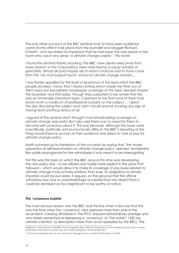The only other account of the BBC seminar ever to have been published came shortly after it took place from the journalist and blogger Richard D.North , who recorded his impression that he had been the only person in the room who was in any sense 'a climate change sceptic'.7 He wrote:

*I found the seminar frankly shocking. The BBC crew (senior executives from every branch of the Corporation) were matched by a equal number of specialists, almost all (and maybe all) of whom could be said to have come from the 'we must support Kyoto' school of climate change activists…*

*I was frankly appalled by the level of ignorance of the issue which the BBC people showed. I mean that I heard nothing which made me think any of them read any broadsheet newspaper coverage of the topic (except maybe the Guardian and that lazily). Though they purported to be aware that this was an immensely important topic, it seemed to me that none of them had shown even a modicum of professional curiosity on the subject … I spent the day discussing the subject and I don't recall anyone showing any sign of having read anything serious at all.* 

*I argued at the seminar that I thought most broadcasting coverage on climate change was awful. But I also said there was no need for them to become self-conscious about it, This was because, although the issues were scientifically, politically and economically difficult, the BBC's reporting of the thing would improve as soon as their audience was asked to vote or pay for climate change policy.*

North summed up his impression of the occasion by saying that 'the whole apparatus of self-examination on climate change policy' seemed 'remarkably like subtle propaganda for the orthodoxies it was meant to be interrogating'.

Yet this was the basis on which the BBC around this time was developing the new policy line – to be refined and made more explicit in the years that followed – which would allow it to make its coverage of any issues related to climate change more actively partisan than ever. Its obligations to remain impartial could be put aside, it argued, on the grounds that the official orthodoxy was now so overwhelmingly accepted that any dissent from it could be dismissed as too insignificant to be worthy of notice.

#### **The 'consensus bubble'**

The most obvious reason why the BBC took this line when it did was that this was the time when the 'consensus' view seemed more than ever in the ascendant, carrying all before it. The IPCC enjoyed extraordinary prestige and was widely presented as expressing a 'consensus' of 'the world's 1500 top climate scientists' (a description more than once repeated by the BBC). The

reference to the seminar in the BBC house magazine *Ariel*, after the importance of the meeting and his part in it were publicised in the *Mail on Sunday* and the *Sunday Telegraph*, 20 November 2011.

<sup>7</sup> Not to be confused with my own long-time colleague and co-author Dr Richard A. E. North.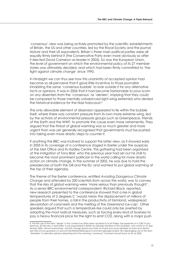'consensus' view was being actively promoted by the scientific establishments of Britain, the US and other countries, led by the Royal Society and the journal *Nature* and their US equivalents. Britain's three main political parties were all equally firmly behind it (the Conservative Party even more obviously so after it elected David Cameron as leader in 2005). So was the European Union, the level of government on which the environmental policy of its 27 member states was ultimately decided, and which had been firmly committed to 'the fight against climate change' since 1990.

In hindsight we can thus see how this unanimity of accepted opinion had become so all-pervasive that it gave little incentive to those journalists inhabiting the same 'consensus bubble' to look outside it for any alternative facts or opinions, It was in 2006 that it had become fashionable to pour scorn on any dissenters from the 'consensus' as 'deniers', implying that they could be compared to those mentally unbalanced right-wing extremists who denied the historical evidence for the Nazi holocaust.8

The only allowable element of dissension appeared to lie within the bubble itself, where there was constant pressure from its own more extreme wing, led by the activists of environmental pressure groups such as Greenpeace, Friends of the Earth and the WWF, to promote the cause even more vehemently. They argued that the threat of global warming was so much greater and more urgent than was yet generally recognised that governments must be pushed into taking even more drastic steps to counter it.

If anything the BBC was inclined to support this latter view, as it showed early in 2005 in its coverage of a conference staged in Exeter under the auspices of the Met Office and its Hadley Centre. This gathering had been organised at the instigation of Tony Blair, who the previous year had set out his stall to become the most prominent politician in the world calling for more drastic action on climate change. In the summer of 2005, he was due to hold the presidencies of both the G8 and the EU, and wanted to put global warming at the top of their agendas.

The theme of the Exeter conference, entitled *Avoiding Dangerous Climate Change* and attended by 200 scientists from across the world, was to convey that the risks of global warming were 'more serious than previously thought'. As a senior BBC environmental correspondent, Richard Black, reported, new research presented to the conference showed that a rise in global temperatures of 2 degrees C 'would mean the displacement of millions of people from their homes, a fall in the productivity of farmland, widespread devastation of coral reefs and the melting of the Greenland ice-cap'. Other speakers argued that such a temperature rise could only be averted by adopting the most radical measures, such as forcing every kind of business to pay a heavy financial price for the right to emit CO2, along with a major push

<sup>8</sup> The first use of the term 'denier' in this context has often been ascribed to Scott Pelley, the presenter of a CBS TV programme, 60 Minutes, in April 2006. It was popularised in Britain by George Monbiot of the Guardian, who wrote on 21 September 2006 'almost everywhere, climate change denial now looks as stupid and unacceptable as Holocaust denial', see http://www.guardian.co.uk/commentisfree/2006/sep/21/comment.georgemonbiot. But disparaging use of the term 'denialism' to describe opinions dissenting from the warming 'consensus' has been traced back as far as 2002.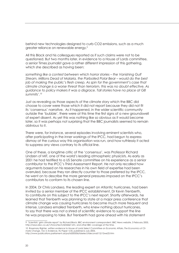behind new technologies designed to curb CO2 emissions, such as a much greater reliance on renewable energy.9

All this Black and his colleagues reported as if such claims were not to be questioned. But two months later, in evidence to a House of Lords committee, a senior Times journalist gave a rather different impression of this gathering, which she described as having been:

*something like a contest between which horror stories – the Vanishing Gulf Stream, Millions Dead of Malaria, the Parboiled Polar Bear – would do the best job of making the public's flesh creep. As spin for the government's case that climate change is a worse threat than terrorism, this was no doubt effective. As guidance to policy makers it was a disgrace. Tall stories have no place at G8 summits'.10*

Just as revealing as those aspects of the climate story which the BBC did choose to cover were those which it did not report because they did not fit its 'consensus' narrative. As it happened, in the wider scientific community outside the 'bubble', there were at this time the first signs of a new groundswell of expert dissent. As yet this was nothing like so obvious as it would become later, so it was perhaps not surprising that the BBC journalists seemed to remain oblivious to it.

There were, for instance, several episodes involving eminent scientists who, after participating in the inner workings of the IPCC, had begun to express dismay at the curious way this organisation was run, and how ruthlessly it acted to suppress any views contrary to its official line.

One of these, a longtime critic of the 'consensus', was Professor Richard Lindzen of MIT, one of the world's leading atmospheric physicists. As early as 2001 he had testified to a US Senate committee on his experience as a senior contributor to the IPCC's Third Assessment Report. He not only recalled how arguments based on his researches in his own field of expertise had been overruled, because they ran directly counter to those preferred by the IPCC, he went on to describe the more general pressures imposed on the IPCC's contributors to conform to its chosen line.

In 2004, Dr Chris Landsea, the leading expert on Atlantic hurricanes, had been invited by a senior member of the IPCC establishment, Dr Kevin Trenberth, to contribute on this subject to the IPCC's next report. Shortly afterwards, he learned that Trenberth was planning to state at a major press conference that climate change was causing hurricanes to become much more frequent and intense. Landsea emailed Trenberth, who knew nothing about hurricanes, to say that there was not a shred of scientific evidence to support the line he was proposing to take. But Trenberth had gone ahead with his statement

<sup>9 &#</sup>x27;Scientists' grim climate report' by Richard Black, BBC environment correspondent, BBC News website, 3 February 2005, http://news.bbc.co.uk/1/hi/sci/tech/4234467.stm, and other BBC coverage at the time.

<sup>10</sup> Rosemary Righter, written evidence to House of Lords Select Committee on Economic Affairs, *The Economics of Climate Change*, Vol. II, Evidence, HL Paper 12-B, published 6 July 2005,

http://www.publications.parliament.uk/pa/ld200506/ldselect/ldeconaf/12/12we23.htm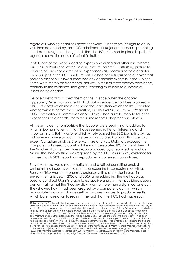regardless, winning headlines across the world. Furthermore, his right to do so was then defended by the IPCC's chairman, Dr Rajendra Pachauri, prompting Landsea to resign - on the grounds that the IPCC seemed to place its political agenda above the cause of scientific truth.

In 2005 one of the world's leading experts on malaria and other insect-borne diseases, Dr Paul Reiter of the Pasteur Institute, painted a disturbing picture to a House of Lords committee of his experiences as a contributor to a chapter on his subject in the IPCC's 2001 report. He had been surprised to discover that scarcely any of his fellow authors had any academic expertise in the subject. Some were merely environmental activists. Almost all were already convinced, contrary to the evidence, that global warming must lead to a spread of insect-borne diseases.

Despite his efforts to correct them on the science, when the chapter appeared, Reiter was amazed to find that his evidence had been ignored in place of a text which merely echoed the scare story which the IPCC wanted. Another witness before the committee, Dr Nils-Axel Morner, former President of the International Commission on Sea Levels, had a similar story to tell of his experiences as a contributor to the same report's chapter on sea-levels.

All these incidents from outside the 'bubble' were beginning to add up to what, in journalistic terms, might have seemed rather an interesting and important story. But it was one which wholly passed the BBC journalists by - as did an even more significant story beginning to break around this time. Two expert Canadian analysts, Steve McIntyre and Ross McKitrick, exposed the computer tricks used to construct the most celebrated IPCC icon of them all, the 'hockey stick' temperature graph produced by a team led by Michael Mann. The 'hockey stick' was regarded by the IPCC as such key evidence for its case that its 2001 report had reproduced it no fewer than six times.

Steve McIntyre was a mathematician and a retired consulting analyst on the mining industry, with a particular expertise in computer modelling. Ross McKitrick was an economics professor with a particular interest in environmental issues. In 2003 and 2005, after subjecting the methodology used to construct Mann's graph to exhaustive analysis, they published papers demonstrating that the 'hockey stick' was no more than a statistical artefact. They showed how it had been created by a computer algorithm which manipulated data which was itself highly questionable, to produce results which bore no relation to reality.<sup>11</sup> The fact that the IPCC had made such

<sup>11</sup> For anyone unfamiliar with this story, Mann and his team had based their findings on an earlier study of tree rings from bristlecone pine trees in the Sierra Nevada (although the authors of that study had explicitly made clear that the varying widths of the tree rings were not to be regarded a reliable guide to past temperatures). Mann's team then added other tree ring samples from across North America which failed to show the same pattern, a gently declining temperature trend for most of the past 1,000 years (with no Medieval Warm Period or Little Ice Age), suddenly rising sharply at the end. McIntyre and McKitrick established that the computer model then used to put all the data together had been programmed with an algorithm which gave up to 390 times more weight to the samples from the bristlecone pines than to those from elsewhere which failed to show the required pattern. This effect was reinforced by replacing the tree ring record for recent decades with an actual thermometer record, to give the final graph the shape of an ice-hockey stick, a long flat stick with a blade sticking up almost vertically at the right end. See S.Mcintyre and R.McKitrick, 'Corrections to the Mann et al (1998) proxy database and northern hemispheric temperature series', *Energy and Environment*,14,206 (2003), http://climateaudit.files.wordpress.com/2005/09/mcintyre.mckitrick.2003.pdf; McIntyre and McKitrick, 'Hockey sticks, principal components and spurious significance', *Geophysical Research Letters*; 32, 2005;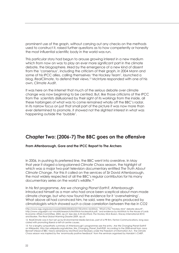prominent use of the graph, without carrying out any checks on the methods used to construct it, raised further questions as to how competently or honestly the most influential scientific body in the world was run.

This particular story had begun to arouse growing interest in a new medium which from now on was to play an ever more significant part in the climate debate, the blogosphere. Irked by the emergence of a new kind of dissent from the 'consensus', including the criticism of their graph, in 2004 Mann and some of his IPCC allies, calling themselves 'the Hockey Team', launched a blog, *RealClimate*, to defend their views.12 McIntyre responded with one of his own, *Climate Audit*.

It was here on the internet that much of the serious debate over climate change was now beginning to be centred. But, like those criticisms of the IPCC from the scientists disillusioned by their sight of its workings from the inside, all these harbingers of what was to come remained wholly off the BBC's radar. In its narrow focus on just that small part of the picture it was now more than ever determined to promote, it showed not the slightest interest in what was happening outside the 'bubble'.

## **Chapter Two: (2006-7) The BBC goes on the offensive**

## **From Attenborough, Gore and the IPCC Report to The Archers**

In 2006, in pushing its preferred line, the BBC went into overdrive. In May that year it staged a long-planned *Climate Chaos* season, the highlight of which was a major two-part television documentary entitled *The Truth About Climate Change*. For this it called on the services of Sir David Attenborough, the most widely respected of all the BBC's regular contributors for his many documentary series on the world's wildlife.13

In his first programme, *Are we changing Planet Earth?*, Attenborough introduced himself as a man who had once been sceptical about man-made climate change, but who now found the evidence for it 'overwhelming'. What above all had convinced him, he said, were the graphs produced by climatologists which showed such a close correlation between the rise in CO2

http://www.agu.org/pubs/crossref/2005/2004GL021750.shtml; McKitrick, 'What is the "hockey stick" debate about?', http://www.uoguelph.ca/~rmckitri/research/McKitrick-hockeystick.pdf; 'and evidence by McKitrick to the House of Lords Economic Affairs Committee, 2005, op.cit. See also A.W.Montford, *The Hockey Stick Illusion*, Stacey International 2010; and Booker, *The Real Global Warming Disaster,*2009, op.cit.

<sup>12</sup> *RealClimate* was in fact set up by Environmental Media Services, part of a PR firm, Fenton Communications, long associated with promoting liberal or left-of-centre causes.

<sup>13</sup> For a lengthy sympathetic summary of Attenborough's programmes see the entry ; Are We Changing Planet Earth? on Wikipedia, http://en.wikipedia.org/wiki/Are\_We\_Changing\_Planet\_Earth%3F. According to the 2008 email from Jana Bennett (Head of BBC Vision) obtained by Montford and Newbery under the Freedom of Information Act, the *Climate Chaos* season was inspired by the 'enormouslly positive feedback' from the seminars organised by Harrabin's CMEP.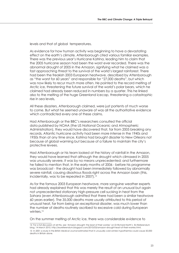levels and that of global temperatures.

As evidence for how human activity was beginning to have a devastating effect on the earth's climate, Attenborough cited various familiar examples. There was the previous year's Hurricane Katrina, leading him to claim that the 2005 hurricane season had been the worst ever recorded. There was the abnormal drought of 2005 in the Amazon, signifying what he claimed was a fast approaching threat to the survival of the world's largest rainforest. There had been the freakish 2003 European heatwave, described by Attenborough as "the worst for 60 years" and responsible for "27,000 deaths", but which was now likely to recur much more often. He pointed to the record melting of Arctic ice, threatening the future survival of the world's polar bears, which he claimed had already been reduced in numbers by a quarter. This he linked also to the melting of the huge Greenland icecap, threatening a catastrophic rise in sea levels,

All these disasters, Attenborough claimed, were just portents of much worse to come. But what he seemed unaware of was all the authoritative evidence which contradicted every one of these claims.

Had Attenborough or the BBC's researchers consulted the official data published by NOAA (the US National Oceanic and Atmospheric Administration), they would have discovered that, far from 2005 breaking any records, Atlantic hurricane activity had been more intense in the 1940s and 1950s than at any time since. Katrina had brought disaster to New Orleans not because of global warming but because of a failure to maintain the city's protective levees.

Had Attenborough or his team looked at the history of rainfall in the Amazon, they would have learned that although the drought which climaxed in 2005 was unusually severe, it was by no means unprecedented; and furthermore he failed to mention that, in the early months of 2006 - before his programme was broadcast - the drought had been immediately followed by abnormally severe rainfall, causing disastrous floods right across the Amazon basin (this, incidentally, was to be repeated in 2007).<sup>14</sup>

As for the famous 2003 European heatwave, more sanguine weather experts had already explained that this was merely the result of an unusual but again not unprecedented stationary high-pressure cell sucking in heat from the Sahara (even Attenborough admitted that there had been a similar heatwave 60 years earlier). The 35,000 deaths more usually attributed to this period of unusual heat, far from being an exceptional disaster, was much lower than the number of deaths routinely ascribed to excessive cold during European winters.<sup>15</sup>

On the summer melting of Arctic ice, there was considerable evidence to

<sup>14</sup> For a full discussion of all this, see 'Amazon drought: the least of their worries' on Dr Richard North's EU Referendum blog, 14 March 2010, http://eureferendum.blogspot.com/2010/03/amazon-drought-least-of-their-worries.html. 15 In 2001 a study in the *British Medical Journal* estimated that in unusually cold winters hypothermia could cause 50,000 deaths in Britain alone.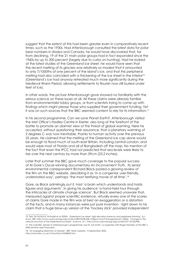suggest that the extent of this had been greater even in comparatively recent times, such as the 1930s. Had Attenborough consulted the latest data for polar bear numbers in Alaska and Canada, he would have discovered that, far from declining, 19 of the 21 main polar groups had in fact expanded since the 1960s by up to 300 percent (largely due to curbs on hunting). Had he looked at the latest studies of the Greenland ice sheet, he would have seen that the recent melting of its glaciers was relatively so modest that it amounted to only 7/1000ths of one percent of the island's ice, and that this peripheral melting had also coincided with a thickening of the ice sheet in the interior<sup>16</sup> (Greenland's ice had anyway retreated much more significantly during the Medieval Warm Period, allowing settlements to flourish now still buried under feet of ice).

In other words, the picture Attenborough gave showed no familiarity with the serious science on these issues at all. All these claims were already familiar from environmentalist lobby groups, or from scientists trying to come up with findings which might please those who supplied their government funding. Yet it was on such sources that the BBC seemed content to rely for its information.17

In his second programme, *Can we save Planet Earth?*, Attenborough visited the Met Office's Hadley Centre in Exeter, also long at the forefront of the battle to promote an alarmist view of the threat of global warming. Here he accepted, without questioning their assurance, that a planetary warming of 2 degrees C was now inevitable, thanks to human activity over the previous 25 years. He claimed that the melting of the Greenland ice cap alone would be enough to flood much of south-east Britain, including central London, and would wipe most of Florida and all of Bangladesh off the map. No mention of the fact that even the IPCC had not predicted that sea levels were likely to rise over the next century by more than 59cm (23.2 inches).

Later that summer the BBC gave much coverage to the popular success of Al Gore's Oscar-winning documentary *An Inconvenient Truth*. Its senior environmental correspondent Richard Black posted a glowing review of the film on the BBC website, describing it as 'in a congenial, user-friendly, understated way', perhaps 'the most terrifying movie of all time'.<sup>18</sup>

Gore, as Black admiringly put it, had 'a brain which understands and holds figures and arguments', in giving his audience 'a hand-held tour through the intricacies of climate change science'. But Black seemed unaware that, measured against proper scientific evidence, virtually every one of the scores of claims Gore made in the film was at best an exaggeration or a distortion of the facts, and in many instances were just pure invention - right down to his claim that a huge blow-up version of the 'hockey stick' provided independent

<sup>16</sup> See, for instance, W.Krabill et al (2000), 'Greenland ice-sheet: high elevation balance and peripheral thinning', *Science*, 289, http://www.sciencemag.org/content/289/5478/428. E.Rignot and P.Kanagaratnam (2006), 'Changes in the velocity structure of the Greenland ice sheet', *Science*, 311, http://www.sciencemag.org/content/311/5763/986.

<sup>17</sup> The scientific adviser to Attenborough's programmes was Dr Joe Smith, co-organiser with Roger Harrabin of the BBC's 2006 seminar (see Postscript).

<sup>18 &#</sup>x27;An engaging dissection of disaster', BBC News website, 15 September 2006, http://news.bbc.co.uk/1/hi/sci/tech/5348692.stm.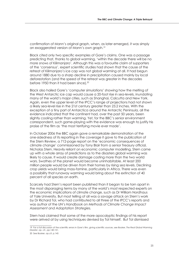confirmation of Mann's original graph, when, as later emerged, it was simply an exaggerated version of Mann's own graph.19

Black cited only two specific examples of Gore's claims. One was a passage predicting that, thanks to global warming, 'within the decade there will be no more snows of Kilimanjaro'. Although this was a favourite claim of supporters of the 'consensus', expert scientific studies had shown that the cause of the retreat of Kilimanjaro's ice cap was not global warming at all. It had begun around 1880 due to a sharp decline in precipitation caused mainly by local deforestation (and the speed of the retreat was greater in the decades before 1950 than it had been since).20

Black also hailed Gore's 'computer simulations' showing how the melting of the West Antarctic ice cap would cause a 20-foot rise in sea-levels, inundating many of the world's major cities, such as Shanghai, Calcutta and New York. Again, even the upper level of the IPCC's range of projections had not shown a likely sea-level rise in the 21st century greater than 23.2 inches. With the exception of a tiny part of Antarctica around the Antarctic Peninsula, all the evidence indicated that the continent had, over the past 50 years, been slightly cooling rather than warming. Yet, for the BBC's senior environment correspondent, such game-playing with the evidence was enough to justify his praise of the film as 'the most terrifying movie ever made'.

In October 2006 the BBC again gave a remarkable demonstration of the one-sidedness of its reporting in the coverage it gave to the publication of the Stern Review, a 712-page report on the 'economic consequences of climate change' commissioned by Tony Blair from a senior Treasury official, Nicholas Stern. Heavily reliant on economic computer modelling, Stern came up with a whole array of predictions as to the disasters global warming was likely to cause. It would create damage costing more than the two world wars. Swathes of the planet would become uninhabitable. At least 200 million people would be driven from their homes by rising sea levels. Declining crop yields would bring mass-famine, particularly in Africa. There was even a possibility that runaway warming would bring about the extinction of 40 percent of all species on earth.

Scarcely had Stern's report been published than it began to be torn apart in the most disparaging terms by many of the world's most respected experts on the economic implications of climate change, such as Dr William Nordhaus of Yale University. But most telling of all was a savage attack on Stern's work by Dr Richard Tol, who had contributed to all three of the IPCC's reports and was author of the UN's *Handbook on Methods of Climate Change Impact Assessment and Adaptation Strategies.*

Stern had claimed that some of the more apocalyptic findings of his report were arrived at by using techniques devised by Tol himself. But Tol dismissed

<sup>19</sup> For a full discussion of the scientific errors in Gore's film, giving scientific sources, see Booker, *The Real Global Warming Disaster*, op. cit., pp.140-151.

<sup>20</sup> See Booker, op.cit, p.145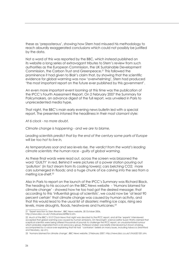these as 'preposterous', showing how Stern had misused his methodology to reach absurdly exaggerated conclusions which could not possibly be justified by the data.

Not a word of this was reported by the BBC, which instead published on its website a long series of extravagant tributes to Stern's review from such authorities as the European Commission, the UK Sustainable Development Commission, the Carbon Trust and Greenpeace.<sup>21</sup> This followed the prominence it had given to Blair's claim that, by showing that the scientific evidence for global warming was now 'overwhelming', Stern had produced 'the most important report on the future ever published by this government'.

An even more important event looming at this time was the publication of the IPCC's Fourth Assessment Report. On 2 February 2007 the Summary for Policymakers, an advance digest of the full report, was unveiled in Paris to unprecedented media hype.

That night, the BBC's main early evening news bulletin led with a special report. The presenters intoned the headliness in their most clamant style:

*At 6 clock - no more doubt,* 

*Climate change is happening - and we are to blame,* 

Leading scientists predict that by the end of the century some parts of Europe *will be too hot to live in,* 

*As temperatures soar and sea levels rise, the verdict from the world's leading climate scientists: the human race - guilty of global warming.*

As these final words were read out, across the screen was blazoned the word 'GUILTY' in red. Behind it were pictures of a power station pouring out 'pollution' (in fact steam from its cooling towers); cars belching CO2; more cars submerged in floods; and a huge chunk of ice calving into the sea from a melting ice-shelf.<sup>22</sup>

Also in Paris to report on the launch of the IPCC's Summary was Richard Black. The heading to his account on the BBC News website - 'Humans blamed for climate change' - showed how he too had got the desired message: that according to this 'influential group of scientists', we could now be 'at least 90 percent certain' that climate change was caused by human activity, and that this would lead to the usual list of disasters: melting ice caps, rising sea levels, more droughts, floods, heatwaves and hurricanes.<sup>23</sup>

http://news.bbc.co.uk/1/hi/business/6098612.stm.

<sup>21 &#</sup>x27;Expert reaction to Stern Review', BBC News website, 30 October 2006,

<sup>22</sup> Much of the BBC's *10 O'Clock News* that night was devoted to the IPCC report, and all the 'experts' interviewed accepted that global warming was caused by human emissions. On *Newsnight,* science editor Susan Watts claimed that sceptical scientists were being offered thousands of pounds to challenge the IPCC report, an unsubstantiated rumour which probably originated from a US advocacy group. Professor Lindzen was briefly interviewed but shown smoking, accompanied by a voice-over explaining that he had 'contrarian' beliefs on many issues, including tobacco (Montford and Newbery, op.cit.).

<sup>23 &#</sup>x27;Humans blamed for climate change', BBC News website, 2 February 2007, http://news.bbc.co.uk/1/hi/6321351.stm.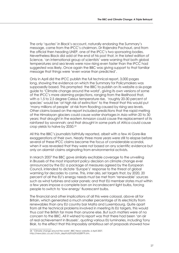The only 'quotes' in Black's account, naturally endorsing the Summary's message, came from the IPCC's chairman, Dr Rajendra Pachauri, and from the official then heading UNEP, one of the IPCC's two sponsoring bodies. Nevertheless Black did add at the end of his post that, in the latest edition of Science, 'an international group of scientists' were warning that both global temperatures and sea levels were now rising even faster than the IPCC had suggested was likely. Once again the BBC was giving support to that familiar message that things were 'even worse than predicted'.

Only in April did the IPCC publish the full technical report, 3,000 pages long, showing the evidence on which the Summary for Policymakers was supposedly based. This prompted the BBC to publish on its website a six-page guide to 'Climate change around the world', giving its own versions of some of the IPCC's more alarming projections, ranging from the likelihood that, with a 1.5 to 2.5 degree Celsius temperature rise, 'roughly 20-30 percent of species' would be 'at high risk of extinction' to the threat that this would put 'many millions of people' at risk from flooding caused by rising sea levels. Other claims based on the report included predictions that the rapid melting of the Himalayan glaciers could cause water shortages in Asia within 20 to 30 years; that drought in the eastern Amazon could cause the replacement of its rainforest by savannah; and that drought in some parts of Africa could cause crop yields to halve by 2050.24

All this the BBC's journalists faithfully reported, albeit with a few Al Gore-like exaggerations of their own. Nearly three more years were still to elapse before several of these IPCC claims became the focus of considerable scandal, when it was revealed that they were not based on any scientific evidence but only on alarmist claims originating from environmental activists.

In March 2007 the BBC gave similarly excitable coverage to the unveiling in Brussels of the most important policy decision on climate change ever announced by the EU: a package of measures agreed by the European Council, intended to dictate 'Europe's' response to the threat of global warming for decades to come. This, inter alia, set targets that, by 2020, 20 percent of all the EU's energy needs must be met from 'renewable' sources such as wind turbines and solar panels; and that EU member states must within a few years impose a complete ban on incandescent light bulbs, forcing people to switch to 'low energy' fluorescent bulbs.

The financial and other implications of all this were colossal, above all for Britain, which generated a much smaller percentage of its electricity from renewables than any EU country bar Malta and Luxembourg. Quite apart from all the technical problems involved in meeting its EU targets, this would thus cost the British far more than anyone else. But such matters were of no concern to the BBC. All it wished to report was that there had been 'an air of real achievement in Brussels', quoting various EU luminaries, including Tony Blair, to the effect that this impossibly ambitious set of proposals showed how

<sup>24 &#</sup>x27;Climate change around the world', BBC News website, 6 April 2007, http://news.bbc.co.uk/1/hi/in\_depth/629/629/6528979.stm.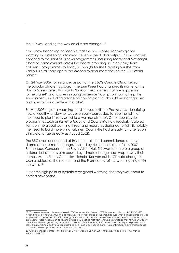the EU was 'leading the way on climate change'.<sup>25</sup>

It was now becoming noticeable that the BBC's obsession with global warming was creeping into almost every aspect of its output. This was not just confined to the slant of its news programmes, including *Today* and *Newsnight*. It had become evident across the board, cropping up in anything from children's programmes to Today's *Thought for the Day* religious slot, from Radio 4's rural soap opera *The Archers* to documentaries on the BBC World Service.

On 24 May 2006, for instance, as part of the BBC's *Climate Chaos* season, the popular children's programme *Blue Peter* had changed its name for the day to *Green Peter*. This was to 'look at the changes that are happening to the planet' and to give its young audience 'top tips on how to help the environment', including advice on how to plant a 'drought resistant garden' and how to 'boil a kettle with a bike'.

Early in 2007 a global warming storyline was built into *The Archers*, describing how a wealthy landowner was eventually persuaded to 'see the light' on the need to plant 'trees suited to a warmer climate'. Other countryside programmes such as *Farming Today* and *Countryfile* now regularly featured items on the global warming threat and measures designed to fight it, notably the need to build more wind turbines (Countryfile had already run a series on climate change as early as August 2002).

The BBC even announced at this time that it had commissioned a 'music drama about climate change, inspired by Hurricane Katrina' for its 2007 Promenade Concerts at the Royal Albert Hall. This was to feature a group of children lost after a storm caused by climate change had swept away their homes. As the Proms Controller Nicholas Kenyon put it, 'Climate change is such a subject of the moment and the Proms does reflect what is going on in the world'.26

But at this high point of hysteria over global warming, the story was about to enter a new phase.

<sup>25 &#</sup>x27;EU agrees to renewable energy target', BBC News website, 9 March 2007, http://news.bbc.co.uk/1/hi/6433503.stm. In fact Britain's position was much worse than was widely recognised at the time, because what Blair had agreed to was that by 2020 15 percent of all Britain's energy needs would be met from 'renewable' sources. He was not aware that a large part of those needs, such as heating by gas, could not be met from renewable sources, so that he had unwittingly committed Britain to generating more than 30 percent of her electricity from 'renewables' (mainly wind power). Ironi cally, this astonishingly costly blunder, described as a 'multi-billion pound gaffe, was confirmed by Blair's chief scientific adviser, Sir David King, on BBC Panorama, 7 November 2011.

<sup>26 &#</sup>x27;Climate change comes to the Proms', BBC News website, 25 April 2007, http://news.bbc.co.uk/1/hi/entertainment/6591849.stm.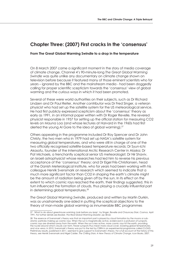## **Chapter Three: (2007) First cracks In the 'consensus'**

#### **From The Great Global Warming Swindle to a drop in the temperature**

On 8 March 2007 came a significant moment in the story of media coverage of climate change. Channel 4's 90-minute-long *The Great Global Warming Swindle* was quite unlike any documentary on climate change shown on television before because it featured many of those eminent scientists who for years – ignored by the BBC and the mainstream media - had been doggedly calling for proper scientific scepticism towards the 'consensus' view of global warming and the curious ways in which it had been promoted.

Several of these were world authorities on their subjects, such as Dr Richard Lindzen and Dr Paul Reiter. Another contributor was Dr Fred Singer, a veteran physicist who had set up the satellite system for the US meteorological service. He had first publicly expressed scepticism about the 'consensus' theory as early as 1991, in an informal paper written with Dr Roger Revelle, the revered physicist responsible in 1957 for setting up the official station for measuring CO2 levels on Mauna Loa (and whose lectures at Harvard in the 1960s had first alerted the young Al Gore to the idea of global warming).<sup>27</sup>

Others appearing in the programme included Dr Roy Spencer and Dr John Christy, the two men who in 1979 had set up NASA's satellite system for measuring global temperatures, and who were still in charge of one of the two officially recognised satellite-based temperature records; Dr Syun-Ichi Akasofu, founder of the International Arctic Research Center in Alaska; Dr Pat Michaels, a trenchantly sceptical senior US meteorologist; Dr Nir Shaviv, an Israeli astrophysicist whose researches had led him to reverse his previous acceptance of the 'consensus' theory; and Dr Eigel Friis-Christiansen, head of the Danish Meterological Institute, who for years had been working with his colleague Henrik Svensmark on research which seemed to indicate that a much more significant factor than CO2 in shaping the earth's climate might be the amount of radiation being given off by the sun. In its effect on the extent to which cosmic rays reached the earth, their findings suggested, this in turn influenced the formation of clouds, thus playing a crucially influential part in determining global temperatures.<sup>28</sup>

*The Great Global Warming Swindle*, produced and written by Martin Durkin, was as unashamedly one-sided in putting the sceptical objections to the theory of man-made global warming as innumerable BBC programmes

<sup>27 &#</sup>x27;What to do about greenhouse warming: look before you leap', by Singer, Revelle and Chauncey Starr, *Cosmos.* April 1991. For further details see Booker, *The Real Global Warming Disaste*r, pp 58-62.

<sup>28</sup> The essence of Svensmark's theory was that an important part is played by cloud formation by the muons or subatomic particles making up cosmic rays. When the sun is magnetically active, evidenced in a profusion of sunspots, cosmic rays are diverted away from the earth. When the sun is less active, more cosmic rays hit the earth, providing the nuclei around which clouds can form. Fewer sunspots thus mean more cloud cover, lowering global temperatures, and vice versa. In 2010, Svensmark's theory was put to the test by CERN in an experimental programme called CLOUD. Preliminary results, published in 2011, seemed to give support to Svensmark's theory. For a full account of the history of this theory, see Henrik Svensmark and Nigel Calder, *The Chilling Stars: A New Theory of Climate Change*, Icon Books, 2007.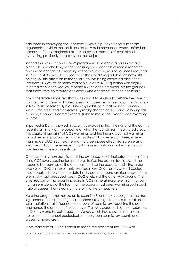had been in conveying the 'consensus' view. It put over serious scientific arguments to which most of its audience would have been wholly unfamiliar because of the stranglehold exercised by the 'consensus' over almost everything previously broadcast on the subject.

Indeed this was just how Durkin's programme had come about in the first place. He had challenged the trivialising one-sidedness of media reporting on climate change at a meeting of the World Congress of Science Producers in Tokyo in 2006. Why, he asked, were the world's major television networks paying so little attention to the serious doubts being expressed about the 'consensus' view by so many reputable scientists? His question was angrily rejected by Michael Mosley, a senior BBC science producer, on the grounds that there were no reputable scientists who disagreed with the consensus.

It was therefore suggested that Durkin and Mosley should debate the issue in front of their professional colleagues at a subsequent meeting of the Congress in New York. So forcefully did Durkin argue his case that many producers were surprised to find themselves agreeing that he had a point. Following this episode, Channel 4 commissioned Durkin to make T*he Great Global Warming Swindle*. 29

In particular Durkin showed his scientists explaining that the signal of the earth's recent warming was the opposite of what the 'consensus' theory predicted. The classic 'fingerprint' of CO2 warming, said the theory, was that warming should be most pronounced in the middle and upper troposphere, where man-made CO2 rises, heightening the greenhouse effect. But satellite and weather balloon measurements had consistently shown that warming was greater near the earth's surface.

Other scientists then described all the evidence which indicated that, far from rising CO2 levels causing temperatures to rise, the data in fact showed the opposite happening. As the earth warmed, so the oceans, easily the largest reservoir of CO2 on the planet, released more CO2 - just as when it cooled, they absorbed it. As ice core data had shown, temperature rises back through pre-history had preceded rises in CO2 levels, not the other way around. The chief reason for the recent increase in CO2 in the atmosphere might not be human emissions but the fact that the oceans had been warming up through natural causes, thus releasing more of it to the atmosphere.

Here the programme moved on to examine Svensmark's theory that the most significant determinant of global temperatures might be those fluctuations in solar radiation that influence the amount of cosmic rays reaching the earth and hence the amount of cloud cover. This was supported by the researches of Dr Shaviv and his colleague Jan Veizer, which had shown a remarkable correlation throughout geological time between cosmic ray counts and global temperatures.

More than one of Durkin's scientists made the point that the IPCC was

<sup>29</sup> Private information from Martin Durkin, reported in *The Real Global Warming Disaster*, op,cit.,p.211.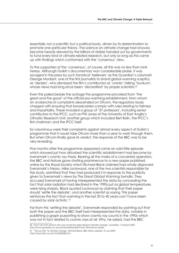essentially not a scientific but a political body, driven by its determination to promote one particular theory. The science on climate change had anyway become heavily skewed by the billions of dollars handed out by governments to fund every kind of climate-related research, but only so long as this came up with findings which conformed with the 'consensus' view.

To the supporters of the 'consensus', of course, all this was no less than rank heresy. Allthough Durkin's documentary won considerable praise, it was savaged in the press by such fanatical 'believers' as the Guardian's columnist George Monbiot, one of the first journalists to brand global warming sceptics as 'deniers', who dismissed the film's contributors as 'cranks' talking 'bunkum', whose views had long since been 'discredited' by proper scientists.<sup>30</sup>

Even this paled beside the outrage the programme provoked from 'the great and the good' of the official pro-warming establishment, from whom an avalanche of complaints descended on Ofcom, the regulatory body charged with ensuring that broadcasters compiy with rules relating to fairness and impartiality. These included a group of '37 professors', including senior contributors to the IPCC, such as Phil Jones of the University of East Anglia's Climatic Research Unit; another group which included Bert Bolin, the IPCC's first chairman; and the IPCC itself.

So voluminous were their complaints against almost every aspect of Durkin's programme that it would take Ofcom more than a year to work through them. But when Ofcom finally gave its verdict, the response of the BBC was to be very revealing.

Five months after the programme appeared came an odd little episode which showed just how disturbed the scientific establishment had become by Svensmark's cosmic ray thesis. Bearing all the marks of a concerted operation, the BBC and Nature gave startling prominence to a new paper published online by the Royal Society which Richard Black claimed had wholly disproved Svensmark's theory. Mike Lockwood, one of the two scientists responsible for the study, admitted that they had produced it in response to the publicity given to Svensmark's views by *The Great Global Warming Swindle*. They accused Svensmark of having misrepresented the data by concealing the fact that solar radiation had declined in the 1990s just as global temperatures were rising sharply. Black quoted Lockwood as claiming that their paper should 'settle the debate', and another scientist as saying 'this paper reinforces the fact that warming in the last 20 to 40 years can't have been caused by solar activity'.31

Far from this 'settling the debate', Svensmark responded by pointing out that both the paper and the BBC itself had misrepresented the data, notably in publishing a graph purporting to show cosmic ray counts in the 1990s which was not in fact related to cosmic rays at all. Why, he asked, had the BBC

<sup>30 &#</sup>x27;Don't let truth stand in the way of red-hot debunking of climate change', *Guardian*, 13 March 2007, http://www.guardian.co.uk/commentisfree/2007/mar/13/science.media.

<sup>31 &#</sup>x27;"No sun link" to climate change', Richard Black, BBC News website, 10 July 2007, http://news.bbc.co.uk/1/hi/6290228.stm.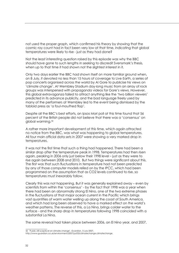not used the proper graph, which confirmed his theory by showing that the cosmic ray count had in fact been very low at that time, indicating that global temperatures were likely to rise - just as they had done?

Not the least interesting question raised by this episode was why the BBC should have gone to such lengths in seeking to discredit Svensmark's thesis, when up to that time it had shown not the slightest interest in it.

Only two days earlier the BBC had shown itself on more familiar ground when, on 8 July, it devoted no less than 15 hours of coverage to Live Earth, a series of pop concerts organised across the world by Al Gore to publicise his views on 'climate change'. At Wembley Stadium day-long music from an array of rock groups was interspersed with propaganda videos for Gore's views. However, this global extravaganza failed to attract anything like the 'two billion viewers' predicted in its advance publicity, and the bad language freely used by many of the performers at Wembley led to the event being dismissed by the tabloid press as 'a foul-mouthed flop'.

Despite all the BBC's best efforts, an Ipsos Mori poll at this time found that 56 percent of the British people did not believe that there was a 'consensus' on global warming.32

A rather more important development at this time, which again attracted no notice from the BBC, was what was happening to global temperatures. All four main official data sets in 2007 were showing a very marked drop in temperatures.

It was not the first time that such a thing had happened. There had been a similar drop after the temperature peak in 1998. Temperatures had then risen again, peaking in 2006 only just below their 1998 level – just as they were to rise again between 2008 and 2010. But two things were significant about this. The first was that such fluctuations in temperature had not been predicted by any of those computer models relied on by the IPCC, which had been programmed on the assumption that as CO2 levels continued to rise, so temperatures must inexorably follow,

Clearly this was not happening. But it was generally explained away – even by scientists from within the 'consensus' - by the fact that 1998 was a year when there had been an abnormally strong El Nino, one of the two extreme phases in the fluctuations of that major ocean current in the Pacific which brings vast quantities of warm water welling up along the coast of South America, and which had long been observed to have a marked effect on the world's weather patterns. The reverse of this, a La Nina, brings colder water to the surface - and the sharp drop in temperatures following 1998 coincided with a substantial La Nina.

The same reversal had taken place between 2006, an El Nino year, and 2007,

<sup>32 &#</sup>x27;Public still sceptical on climate change', *Guardian*, 3 July 2007,

http://www.guardian.co.uk/environment/2007/jul/03/climatechange.climatechange.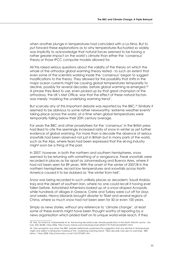when another plunge in temperatures had coincided with a La Nina. But to put forward these explanations as to why temperatures fluctuated so widely was implicitly to acknowledge that natural forces seemed to be having a rather greater impact on the world's climate than either the 'consensus' theory or those IPCC computer models allowed for.

All this raised serious questions about the validity of the theory on which the whole of the orthodox global warming theory rested - to such an extent that even some of the scientists working inside the 'consensus' began to suggest modifications to the theory. They allowed for the possibility that shifts in the major ocean currents might be causing global temperatures temporarily to decline, possibly for several decades, before global warming re-emerged.<sup>33</sup> A phrase they liked to use, even picked up by that great champion of the orthodoxy, the UK's Met Office, was that the effect of these natural factors was merely 'masking the underlying warming trend'.

But scarcely any of this important debate was reported by the BBC.<sup>34</sup> Similarly it seemed to be oblivious to some rather newsworthy 'extreme weather events' taking place across the world, at a time when global temperatures were temporarily falling below their 20th century average.

For years the BBC and other proselytisers for the 'consensus' in the British press had liked to cite the seemingly increased rarity of snow in winter as yet further evidence of global warming. For more than a decade the absence of serious snowfalls had been observed not just in Britain but in many parts of the world, such as the Alps, where fears had been expressed that the ski-ing industry might soon be a thing of the past.

In 2007, however, in both the northern and southern hemispheres, snow seemed to be returning with something of a vengeance. Freak snowfalls were recorded in places as far apart as Johannesburg and Buenos Aires, where it had not been seen for 89 years. With the onset of the winter of 2007/8 in the northern hemisphere, record low temperatures and snowfalls across North America caused it to be dubbed as 'the winter from hell'.

Snow was being recorded in such unlikely places as Jerusalem, Saudi Arabia, Iraq and the desert of southern Iran, where no one could recall it having ever fallen before. Astonished Athenians looked up at a snow-draped Acropolis, while hundreds of villages in Greece, Crete and Turkey were cut off for days and weeks. Heavy blizzards brought disaster to Tibet and several regions of China, where so much snow had not been seen for 50 or even 100 years.

Simply as news stories, without any reference to 'climate change', at least some of these events might have been thought worthy of reporting by a news organisation which prided itself on its unique world-wide reach. If they

<sup>33</sup> See, for instance, N.Keenlyside et al, Advancing decadal-scale climate predictions in the North Atlantic sector', *Nature*, 453, 84-88, I May 2006, http://www.nature.com/nature/journal/v453/n7191/full/nature06921.html.

<sup>34</sup> One exception was when the BBC website defensively publicised the suggestion that any decline in temperatures might only reflect a temporary masking of the 'underlying warming trend'.'Next decade may see no warming!', BBC News, 1 May 2008, http://news.bbc.co.uk/1/hi/7376301.stm.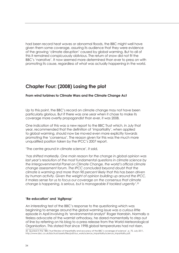had been record heat waves or abnormal floods, the BBC might well have given them some coverage, assuring its audience that they were evidence of the growing 'climate disruption' caused by global warming. But to all of this it remained conspicuously oblivious. The return of snow did not fit the BBC's 'narrative'. It now seemed more determined than ever to press on with promoting its cause, regardless of what was actually happening in the world.

## **Chapter Four: (2008) Losing the plot**

**From wind turbines to Climate Wars and the Climate Change Act** 

Up to this point, the BBC's record on climate change may not have been particularly glorious. But if there was one year when it chose to make its coverage more overtly propagandist than ever, it was 2008.

One indication of this was a new report to the BBC Trust which, in July that year, recommended that the definition of 'impartiality', when applied to global warming, should now be moved even more explicitly towards promoting the 'consensus'. The reason given for this was the much more unqualified position taken by the IPCC's 2007 report.

'The centre ground in climate science', it said,

*'has shifted markedly. One main reason for the change in global opinion was last year's resolution of the most fundamental questions in climate science by the Intergovernmental Panel on Climate Change, the world's official climate change assessment forum. The IPCC concluded beyond doubt that the climate is warming and more than 90 percent likely that this has been driven by human activity. Given the weight of opinion building up around the IPCC, it makes sense for us to focus our coverage on the consensus that climate change is happening, is serious, but is manageable if tackled urgently'.35*

## **'Re-education' and 'Agitprop**'

An interesting test of the BBC's response to the questioning which was beginning to emerge around the global warming issue was a curious little episode in April involving its 'environmental analyst' Roger Harrabin. Normally a tireless advocate of the warmist orthodoxy, he dared momentarily to step out of line by referring on his blog to a press release from the World Meteorological Organisation. This stated that since 1998 global temperatures had not risen,

<sup>35</sup> Quoted in the 'BBC Trust Review of impartiality and accuracy of the BBC's coverage of science'. p. 70, July 2011, http://www.bbc.co.uk/bbctrust/assets/files/pdf/our\_work/science\_impartiality/science\_impartiality.pdf.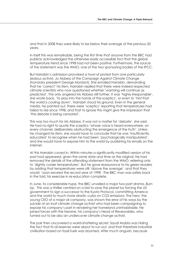and that in 2008 they were likely to be below their average of the previous 20 years.

In itself this was remarkable, being the first time that anyone from the BBC had publicly acknowledged the otherwise easily accessible fact that the global temperature trend since 1998 had not been positive. Furthermore, the source of the statement was the WMO, one of the two sponsoring bodies of the IPCC.

But Harrabin's admission provoked a howl of protest from one particularly zealous activist, Jo Abbess of the Campaign Against Climate Change (honorary president George Monbiot). She emailed Harrabin, demanding that he 'correct' his item. Harrabin replied that there were indeed respected climate scientists who now questioned whether 'warming will continue as predicted'. This only angered Ms Abbess still further. It was 'highly irresponsible', she wrote back, 'to play into the hands of the sceptics', or even to 'hint that the world is cooling down'. Harrabin stood his ground. Even in the general media, he pointed out, there were 'sceptics' reporting that temperatures had failed to rise since 1998, and that to ignore this might give the impression that 'the debate is being censored'.

This was too much for Ms Abbess. It was not a matter for 'debate', she said. He had no right to quote the sceptics 'whose voice is heard everywhere, on every channel, deliberately obstructing the emergence of the truth'. Unless he changed his item, she would have to conclude that he was 'insufficiently educated' to recognise when he had been 'psychologically manipulated', and she would have to expose him to the world by publishing his emails on the internet.

At this Harrabin caved in. Within minutes a significantly modified version of his post had appeared, given the same date and time as the original. He had removed the details of the offending statement from the WMO, referring only to 'slightly cooler temperatures'. But he gave reassurance to his green readers by adding that temperatures were still 'above the average', and that they would 'soon exceed the record year of 1998'. The BBC man was safely back in the fold, his exercise in re-education complete.

In June, to considerable hype, the BBC unveiled a major two-part drama, *Burn Up*. This was a thriller centred on a bid to save the planet by forcing the US government to sign a successor to the Kyoto Protocol, committing America and the world to much more drastic curbs on CO2 emissions. The hero, the young CEO of a major oil company, was shown the error of his ways by the suicide of an Inuit climate change activist who had been campaigning to expose his company's part in rendering her homeland uninhabitable. He joined forces with the heroine, his company's Head of Renewables, who turned out to be also an undercover climate change activist.

The pair then uncovered a world-shattering secret. Saudi Arabia was hiding the fact that its oil reserves were about to run out, and that therefore industrial civilisation based on fossil fuels was doomed. After much anguish, because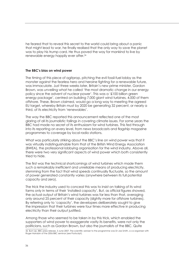he feared that to reveal this secret to the world could bring about a panic that might lead to war, he finally realised that the only way to save the planet was to play his trump card. He thus paved the way for mankind to live by renewable energy happily ever after.36

## **The BBC's bias on wind power**

The timing of this piece of agitprop, pitching the evil fossil-fuel lobby as the monster against the fearless hero and heroine fighting for a renewable future, was immaculate. Just three weeks later, Britain's new prime minister, Gordon Brown, was unveiling what he called 'the most dramatic change in our energy policy since the advent of nuclear power'. This was a '£100 billion green energy package', centred on building 7,000 giant wind turbines, 4,000 of them offshore. These, Brown claimed, would go a long way to meeting the agreed EU target, whereby Britain must by 2020 be generating 32 percent, or nearly a third, of its electricity from 'renewables'.

The way the BBC reported this announcement reflected one of the most glaring of all its journalistic failings in covering climate issues. For some years the BBC had made no secret of its enthusiasm for wind turbines. This fed through into its reporting on every level, from news broadcasts and flagship magazine programmes to coverage by local radio stations.

What was particularly striking about the BBC's line on wind power was that it was virtually indistinguishable from that of the British Wind Energy Association (BWEA), the professional lobbying organisation for the wind industry. Above all, there were two very significant aspects of wind power which both consistently tried to hide.

The first was the technical shortcomings of wind turbines which made them such a remarkably inefficient and unreliable means of producing electricity, stemming from the fact that wind speeds continually fluctuate, so the amount of power generated constantly varies (anywhere between its full potential capacity and zero).

The trick the industry used to conceal this was to insist on talking of its wind farms only in terms of their 'installed capacity'. But, as official figures showed, the actual output of Britain's wind turbines was far less than that, averaging only around 25 percent of their capacity (slightly more for offshore turbines). By referring only to 'capacity', the developers deliberately sought to give the impression that their turbines were four times more effective in producing electricity than their output justified.

Among those who seemed to be taken in by this trick, which enabled the supporters of wind power to exaggerate vastly its benefits, were not only the politicians, such as Gordon Brown, but also the journalists of the BBC. Quite

<sup>36</sup> *Burn Up*, BBC press release, 3 June 2007. The scientific adviser to the programme was Dr Joe Smith, a co-organiser with Roger Harrabin of the 2006 BBC seminar (see Postscript).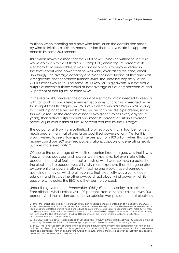routinely when reporting on a new wind farm, or on the contribution made by wind to Britain's electricity needs, this led them to overstate its supposed benefits by some 300 percent.

Thus when Brown claimed that the 7,000 new turbines he wished to see built would do much to meet Britain's EU target of generating 32 percent of its electricity from renewables, it was painfully obvious to anyone versed in the facts about wind power that he was wildly overstating the case, albeit unwittingly. The average capacity of a giant onshore turbine at that time was 2 megawatts, that of offshore turbines 3MW. The 'installed capacity' of his 7,000 turbines would thus be some 18,000MW, or 18 gigawatts. But the actual output of Brown's turbines would at best average out at only between 25 and 30 percent of that figure, or some 5GW.

In the real world, however, the amount of electricity Britain needed to keep its lights on and its computer-dependent economy functioning averaged more than eight times that figure, 42GW. Even if all the windmills Brown was hoping for could in practice be built by 2020 (in itself only an idle pipe dream, since this would require the erection of nearly two giant turbines every day for 12 years), their actual output would only meet 12 percent of Britain's average needs, or just over a third of the 32 percent required by the EU target.

The output of all Brown's hypothetical turbines would thus in fact be not very much greater than that of one large coal-fired power station.<sup>37</sup> Yet for this Brown wished to see Britain spend the best part of £100 billion, when that same money could buy 200 gas-fired power stations, capable of generating nearly 30 times more electricity.38

Of course the advantage of wind, its supporters liked to argue, was that it was free, whereas coal, gas and nuclear were expensive. But even taking into account the cost of fuel, the capital costs of wind were so much greater that the electricity it produced was still vastly more expensive than that generated by conventional power stations.<sup>39</sup> In fact no one would have dreamed of spending money on wind turbines unless their electricity was given a huge subsidy – and this was the other awkward fact about wind power which its supporters, including the BBC, did their best to conceal.

Under the government's *Renewables Obligation*, the subsidy to electricity from offshore wind turbines was 100 percent. From offshore turbines it was 200 percent. And the hidden cost of these subsidies was passed on to all electricity

<sup>37</sup> Drax, the largest coal-fired power station in Britain, can if needed generate not far short of its capacity, at 3.8GW. Shortly after Brown made his announcement, he addressed an EU meeting in Paris attended by senior representatives of Middle Eastern oil states. Referring to his plans to build enough offshore wind farms to generate slightly more power than a single coal-fired power station, he told his audience that Britain would be 'the global centre for offshore wind', making the North Sea 'the Gulf of the future' ('The Post-Oil Economies of the Future', Oil Drum website, 15 July 2008, http://www.theoildrum.com/node/4300).

<sup>38</sup> The CCGT gas-fired power station opened at Langage near Plymouth in March 2011, costing £400 million to build, had a capacity of 882MW (not far short of the average output in 2010 of all Britain's wind farms put together).

<sup>39</sup> In 2004 the Royal Academy of Engineering had published a study comparing the real costs per kilowatt hour of the main sources of electricity production. From gas it was 2.2p, nuclear (including decommissioning costs) 2.3p, the more efficient coal plants 2.5p. From an onshore wind turbine it was 5.4p, or more than twice as much as that from conventional power stations. From offshore turbines it was 7.2p.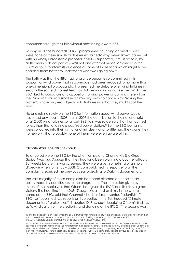consumers through their bills without most being aware of it.

So why, in all the hundreds of BBC programmes touching on wind power, were none of these simple facts ever explained? Why, when Brown came out with his wholly unrealisable proposal in 2008 – supported, it must be said, by all the main political parties – was not one attempt made, anywhere in the BBC's output, to inform its audience of some of those facts which might have enabled them better to understand what was going on?<sup>40</sup>

The truth was that the BBC had long since become so committed in its support for wind power that its coverage had been reduced to no more than one-dimensional propaganda. It presented the debate over wind turbines in exactly the same dishonest terms as did the wind industry. Like the BWEA, the BBC liked to caricature any opposition to wind power as coming merely from the 'Nimby' faction: a small selfish minority, with no concern for 'saving the planet', whose only real objection to turbines was that they might spoil the view.

No one relying solely on the BBC for information about wind power would have had any idea in 2008 that in 2007 the contribution to the national grid of all 2,000 wind turbines so far built in Britain was so derisory that it amounted to less than that of a single gas-fired power station.41 But the BBC journalists were so locked into their institutional mindset - and so little had they done their homework - that probably none of them were even aware of this.

### **Climate Wars: The BBC hits back**

So angered were the BBC by the attention paid to Channel 4's *The Great Global Warming Swindle* that they had long been planning a counter-attack. But weeks before this was screened, they were given something of an hors d'oeuvre when, on 21 July 2008, Ofcom published its response to all the complaints received the previous year objecting to Durkin's documentary.

The vast majority of these complaints had been directed at the scientific points made by contributors to the programme. The impression given by much of the media was that Ofcom had given the IPCC and its allies a great victory. The headline in the *Daily Telegraph*, almost as firmly in the warmist camp as the BBC, said that Channel 4 had '"misrepresented" scientists'. The BBC itself published two reports on its website. In the first, headed 'Climate documentary "broke rules"', it quoted Dr Pachauri describing Ofcom's findings as 'a vindication of the credibility and standing of the IPCC'. The second was

<sup>40</sup> The first occasion I can recall when the BBC admitted that wind electricity was significantly more expensive than that from conventional power stations was Panorama's 'What's fuelling your energy bill?<sup>7</sup>, 7 November 2011, http://news.bbc.co.uk/panorama/hi/front\_page/newsid\_9631000/9631864.stm.

<sup>41</sup> Nor would they have known that the more wind farms that were built, the more it would become necessary to build gas-fired power stations matching the wind farms in their capacity, simply to provide instantly available back-up for times when the wind dropped. These would have to be kept permanently running on 'spooling reserve', emitting more CO2 than the wind turbines were theoretically capable of saving. This would completely negate any supposed reduction in CO2 emissions, so that, even on this count, wind farms would achieve no beneficial purpose.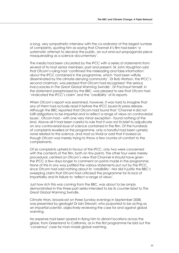a long, very sympathetic interview with the co-ordinator of the largest number of complaints, quoting him as saying that Channel 4's film had been 'a systematic attempt to deceive the public, an out-and-out propaganda piece masquerading as a science documentary'.

The media had been circulated by the IPCC with a series of statements from several of its most senior members, past and present. Sir John Houghton said that Ofcom's ruling had 'confirmed the misleading and false information' about the IPCC contained in the programme, which 'had been wilfully disseminated by the climate-denying community'. Dr Bob Watson, the IPCC's second chairman, was pleased that Ofcom had recognised 'the serious inaccuracies in *The Great Global Warming Swindle*'. Dr Pachauri himself, in the statement paraphrased by the BBC, was pleased to see that Ofcom had 'vindicated the IPCC's claim' and the 'credibility' of its reports.

When Ofcom's report was examined, however, it was hard to imagine that any of them had actually read it before the IPCC issued its press release. Although the BBC reported that Ofcom had found that 'Channel 4 did not fulfil obligations to be impartial and to reflect a range of views on controversial issues', Ofcom had – with one very minor exception - found nothing of the kind. Above all it had been careful to rule that it was not its brief to adjudicate on any controversial issue of science contained in the film. Of the hundreds of complaints levelled at the programme, only a handful had been upheld, none related to the science, and most so trivial or odd that it looked as though Ofcom was merely trying to throw a few crumbs of comfort to the complainants.

Of six complaints upheld in favour of the IPCC, only two were concerned with the contents of the film, both on tiny points. The other four were merely procedural, centred on Ofcom's view that Channel 4 should have given the IPCC a few days longer to comment on points made in the programme. None of this in any way justified the various statements put out by the IPCC, since Ofcom had said nothing about its 'credibility'. Nor did it justify the BBC's sweeping claim that Ofcom had criticised the programme for its lack of impartiality and its failure to 'reflect a range of views'.

Just how rich this was coming from the BBC, was about to be amply demonstrated in the three-part series intended to be its counter-blast to *The Great Global Warming Swindle*.

*Climate Wars*, broadcast on three Sunday evenings in September 2008, was presented by geologist Dr Iain Stewart, who purported to be acting as an impartial scientist, objectively reviewing the case for and against global warming.

No expense had been spared in flying him to distant locations across the globe, from Greenland to California, as in the first programme he laid out the 'consensus' case for man-made global warming.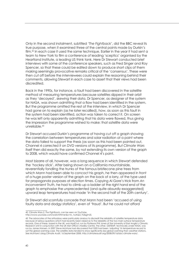Only in the second instalment, subtitled *'The Fightback'*, did the BBC reveal its true purpose, when it examined three of the central points made by Durkin's film.<sup>42</sup> In each case it used the same technique. Earlier in the year it had sent a team to New York to film a conference of leading 'sceptics' organised by the Heartland Institute, a leading US think tank. Here Dr Stewart conducted brief interviews with some of the conference speakers, such as Fred Singer and Roy Spencer, so that these could be edited down to produce short clips of them making seemingly provocative remarks critical of the 'consensus'. These were then cut off before the interviewees could explain the reasoning behind their comments, allowing Stewart in each case to assert that their views had been discredited.

Back in the 1990s, for instance, a fault had been discovered in the satellite method of measuring temperatures because satellites slipped in their orbit as they 'decayed', skewing their data. Dr Spencer, as designer of the system for NASA, was shown admitting that a flaw had been identified in the system. But the programme omitted the rest of the interview, in which Dr Spencer had gone on to explain (as he later recallled), how, as soon as this fault in the system had been identified, action was taken to correct it. On screen he was left only apparently admitting that his data were flawed, thus giving the impression the programme wished to make: that satellite data were unreliable.43

Dr Stewart accused Durkin's programme of having cut off a graph showing the correlation between temperatures and solar radiation at a point where the data failed to support the thesis (as soon as this had been pointed out, Channel 4 corrected it on DVD versions of its programme). But *Climate Wars*  itself then did exactly the same, by not extending its own version of the graph to 2008, which would have confirmed Channel 4's point.

Most bizarre of all, however, was a long sequence in which Stewart defended the 'hockey stick'. After being shown on a California mountainside, reverentially fondling the trunks of the famous bristlecone pine trees from which Mann had been able to concoct his graph, he then appeared in front of a huge poster version of the graph on the back of a lorry, of the type used for propaganda purposes at election times. Copying Al Gore's trick from *An Inconvenient Truth*, he had to climb up a ladder at the right hand end of the graph to emphasise the unprecedented (and quite absurdly exaggerated) upward leap temperatures had made 'in the second half of the 20th century'.

Dr Stewart did scornfully concede that Mann had been 'accused of using faulty data and dodgy statistics', even of 'fraud'. But he could not afford

<sup>42</sup> *Climate Wars 2, The Fightback*, can be seen on YouTube,

http://www.youtube.com/watch?hl=en&v=A\_1wAQJi\_YU&gl=US.

<sup>43</sup> The advocates of the orthodoxy were particularly anxious to discredit the reliability of satellite temperature data because of serious questions which had recently been raised as to the reliability of the two main surface temperature records. One of these, based in the UK, was HadCrut, run by Professor Phil Jones of the University of East Anglia's Climatic Research Unit in conjunction with the UK Met Office's Hadley Centre. The other, GISTEMP, technically under NASA, was run by James Hansen. In 2007 Steve McIntyre had discovered that GISS had been 'adjusting' its temperature record to suit the global warming case. The satellite data tended to show significantly less global warming than weather stations. See McIntyre's blog *Climate Audit,* 16 September 2008, http://climateaudit.org/2008/09/16/bbc-climate-wars/.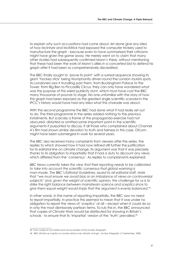to explain why such accusations had come about, let alone give any idea of how McIntyre and McKitrick had exposed the computer trickery used to manufacture the graph - because even to have summarised their criticisms might have given the game away. He merely went on to claim that many other studies had subsequently confirmed Mann's thesis, without mentioning that these had been the work of Mann's allies in a concerted bid to defend his graph after it had been so comprehensively discredited.

The BBC finally sought to 'prove its point' with a surreal sequence showing its giant 'hockey stick' being triumphantly driven round the London tourists spots. As Londoners saw it trundling past them, from Buckingham Palace to the Tower, from Big Ben to Piccadilly Circus, they can only have wondered what was the purpose of this weird publicity stunt, which must have cost the BBC many thousands of pounds to stage. No one unfamiliar with the story of how this graph had been exposed as the greatest single scientific scandal in the IPCC's history would have had any idea what this charade was about.

With the second programme the BBC had done what it had really set out to do. The third programme in the series added nothing to the previous instalments. But scarcely a frame of this propaganda exercise had not obscured, distorted or omitted some important point in the scientific arguments it purported to discuss. If all those who complained about Channel 4's film had shown similar devotion to truth and fairness in this case, Ofcom might have been submerged in work for several years.

The BBC also received many complaints from viewers after the series, the replies to which showed how it had now refined still further the justification for its editorial line on climate change. Its argument was that it was precisely thanks to its obligation to impartiality that it had a duty to discount any views which differed from the 'consensus'. As replies to complainants explained:

*BBC News currently takes the view that their reporting needs to be calibrated to take into account the scientific consensus that global warming is man-made. The BBC's Editorial Guidelines, issued to all editorial staff, state that "we must ensure we avoid bias or an imbalance of views on controversial subjects" and, given the weight of scientific opinion, the challenge for us is to strike the right balance between mainstream science and sceptics since to give them equal weight would imply that the argument is evenly balanced.*<sup>44</sup>

In other words, in the name of reporting impartially, the BBC saw no need to report impartially. In practice this seemed to mean that it was under no obligation to report the views of 'sceptics' at all – except when it could do so in only the most dismissively partisan terms. To rub this in, the BBC announced that copies of *Climate Wars* would be distributed for showing in Britain's schools - to ensure that its 'impartial' version of the 'truth' prevailed.<sup>45</sup>

<sup>44</sup> From copies of such letters sent me by readers of the *Sunday Telegraph.* 

<sup>45 &#</sup>x27;BBC stitches up sceptics in counter-attack over climate change', *Sunday Telegraph*, 21 September, 2008.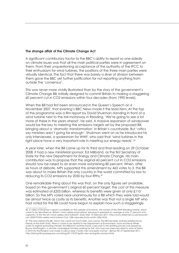### **The strange affair of the Climate Change Act**

A significant contributory factor to the BBC's ability to report so one-sidedly on climate issues was that all the main political parties were in agreement on them. From their unquestioning acceptance of the authority of the IPCC to their enthusiasm for wind turbines, the positions of the three main parties were virtually identical. The fact that there was barely a sliver of division between them gave the BBC yet further justification for not reporting anything from outside the 'consensus'.

This was never more vividly illustrated than by the story of the government's Climate Change Bill, initially designed to commit Britain to making a staggering 60 percent cut in CO2 emissions within four decades (from 1990 levels).

When the Bill had first been announced in the Queen's Speech on 6 November 2007, that evening's BBC News made it the lead item. At the top of the programme was a film report by David Shukman standing in front of a wind turbine next to the M4 motorway in Reading. 'We're going to see a lot more of these in the years ahead', he said. A massive expansion of windpower would be the key to meeting the emissions targets set by the proposed Bill, bringing about a 'dramatic transformation' in Britain's countryside. But 'critics say ministers aren't going far enough', Shukman went on as he introduced his only interviewee, a spokesman for WWF, who said that 'wind turbines in the right place have a very important role in meeting our energy needs'.46

A year later, when the Bill came up for its third and final reading on 29 October 2008, it had a new ministerial sponsor, Ed Miliband, as the first Secretary of State for the new Department for Energy and Climate Change. His main contribution was to propose that the original 60 percent cut in CO2 emissions should now be raised to an even more astonishing 80 percent. When, after six hours of debate, MPs supported this amendment by 463 votes to 3, the Bill was about to make Britain the only country in the world committed by law to reducing its CO2 emissions by 2050 by four-fifths.<sup>47</sup>

One remarkable thing about this was that, on the only figures yet available, based on the government's original 60 percent target, the cost of this measure was estimated at £205 billion, whereas its benefits were given at only £110 billion. So the MPs voted near-unanimously for a Bill which they were told would be almost twice as costly as its benefits. Another was that not a single MP who had voted for the Bill could have begun to explain how such a staggeringly

<sup>46</sup> A video of Shukman's report is available on the website of Ecotricity, the owners of the 2MW Reading turbine, which came to be described as 'Britain's most useless wind turbine' because it operated on average at only 17 percent of its capacity ('Is this the UK's most useless wind turbine?', *Daily Mai*l, 10 February 2011, http://www.dailymail.co.uk/news/article-1355419/UKs-useless-wind-turbine-Cost-130k-raise-electricity-worth-100k.html).

<sup>47</sup> The story behind this Bill, which only came out much later, was curious. The Bill had been actively lobbied for by Friends of the Earth (FoE). When it came to be drafted in the Department of Environment, Food and Rural Affairs under its original sponsoring minister, Ed Miliband's brother David, a key part in the drafting process was played by Bryony Worthington, a climate campaigner formerly working for FoE, who had now been recruited to work at Defra. In 2010 Ms Worthington was made a Labour peer ('Guilty men and guilty woman', *Bishop Hill*, 27 September 2011, http://bishophill.squarespace.com/blog/2011/9/27/guilty-men-and-guilty-women.html).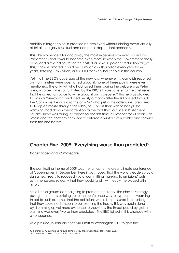ambitious target could in practice be achieved without closing down virtually all Britain's largely fossil-fuel and computer-dependent economy.

This already made it far and away the most expensive law ever passed by Parliament - and it would become even more so when the Government finally produced a revised figure for the cost of its new 80 percent reduction target. This, it now estimated, could be as much as £18.3 billion every year for 42 years, totalling £768 billion, or £30,000 for every household in the country.

Yet in all the BBC's coverage of the new law, whenever its journalists reported on it or ministers were questioned about it, none of these points were ever mentioned. The only MP who had raised them during the debate was Peter Lilley, who became so frustrated by the BBC's failure to refer to the cost issue that he asked for space to write about it on its website.48 This he was allowed to do in a 'Viewpoint' published nearly a month after the Bill passed through the Commons. He was also the only MP who, just as his colleagues prepared to troop en masse through the lobby to support their wish to halt global warming, had drawn their attention to the fact that, outside in Parliament Square, snow was falling in London for the first time in October for 74 years – as Britain and the northern hemisphere entered a winter even colder and snowier than the one before.

## **Chapter Five: 2009: 'Everything worse than predicted''**

#### **Copenhagen and 'Climategate'**

The dominating theme of 2009 was the run-up to the great climate conference at Copenhagen in December. Here it was hoped that the world's leaders would sign a new treaty to succeed Kyoto, committing mankind to emissions' cuts so immense and so costly that they would land it with easily the biggest bill in history.

For all those groups campaigning to promote the treaty, the chosen strategy during the months building up to the conference was to hype up the warming threat to such extremes that the politicians would be pressured into thinking that they could not be seen to be rejecting the treaty. This was again done by drumming up yet more evidence to show how the threat posed by global warming was even 'worse than predicted'. The BBC joined in this charade with a vengeance.

As a prelude, in January it sent 400 staff to Washington D.C. to give the

<sup>48</sup> Peter Lilley, 'Coughing up to curb climate', BBC News website, 25 November 2008, http://news.bbc.co.uk/1/hi/sci/tech/7746126.stm.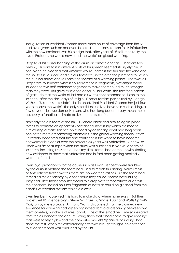inauguration of President Obama many more hours of coverage than the BBC had ever given such an occasion before. Not the least reason for its infatuation with the new President was his pledge that, after years of US failure to ratify the Kyoto Protocol, he would now 'lead the world' on global warming.

Despite all his earlier banging of the drum on climate change, Obama's two fleeting allusions to it in different parts of his speech seemed strangely thin. In one place he pledged that America would 'harness the sun and the wind and the soil to fuel our cars and run our factories', in the other he promised to 'lessen the nuclear threat and roll back the spectre of a warming planet'. That was all. Desperate to squeeze what it could from these fragments, *Newsnight* trickily spliced the two half-sentences together to make them sound much stronger than they were. This gave its science editor, Susan Watts, the text for a paean of gratitude that the world at last had a US President prepared to 'listen to the science' after the dark days of 'religious' obscurantism personified by George W. Bush. 'Scientists calculate', she intoned, 'that President Obama has just four years to save the world'. The only scientist actually to have said such a thing, a few days earlier, was James Hansen, who had long become very much more obviously a fanatical 'climate activist' than a scientist.

Next day the old team of the BBC's Richard Black and *Nature* again joined forces to promote an apparently sensational new study which claimed to turn existing climate science on its head by correcting what had long been one of the more embarrassing anomalies in the global warming theory. It was universally accepted that the one continent in the world to have become not warmer but cooler over the previous 50 years was Antarctica. But now, as Black was first to trumpet when the study was published in *Nature*, a team of US scientists, including Dr Mann of 'hockey stick' fame, had come up with startling new evidence to show that Antarctica had in fact been getting markedly warmer after all.

Even loyal protagonists for the cause such as Kevin Trenberth were troubled by the curious method the team had used to reach this finding. Across most of Antarctica's frozen wastes there are no weather stations. But the team had remedied this deficiency by a technique they called 'sparse data infilling'. They had used their computer model to extrapolate temperatures all across the continent, based on such fragments of data as could be gleaned from the handful of weather stations which did exist.

Even Trenberth observed 'it is hard to make data where none exists'. But then two expert US science blogs, Steve McIntyre's *Climate Audit* and *Watts Up With That*, run by meteorologist Anthony Watts, discovered that the claimed new evidence for warming had largely originated from a discrepancy between two thermometers, hundreds of miles apart. One of these had become so insulated from the air beneath the accumulating snow that it had come to give readings that were falsely high – and the computer model's 'sparse data infilling' had done the rest. When this extraordinary error was brought to light, no correction to its earlier reports was published by the BBC.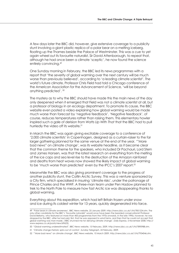A few days later the BBC did, however, give extensive coverage to a publicity stunt involving a giant plastic replica of a polar bear on a melting iceberg, floating up the Thames beside the Palace of Westminster. This was a cue to yet again wheel out its favourite naturalist, Sir David Attenborough, to repeat that, although he had once been a climate 'sceptic', he now found the science entirely convincing.49

One Sunday morning in February, the BBC led its news programmes with a report that 'the severity of global warming over the next century will be much worse than previously believed', according to 'a leading climate scientist'. The world's future climate, Professor Chris Field had told a Chicago conference of the American Association for the Advancement of Science, 'will be beyond anything predicted'. 50

The mystery as to why the BBC should have made this the main news of the day only deepened when it emerged that Field was not a climate scientist at all, but a professor of biology in an ecology department. To promote its cause, the BBC website even posted a video explaining how global warming would be made much worse than forecast by 'negative feedback'. 'Negative feedback', of course, reduces temperatures rather than raising them. This elementary howler inspired such a gale of derision from *Watts Up With That* that the BBC had to pull hurriedly the video off its website.<sup>51</sup>

In March the BBC was again giving excitable coverage to a conference of '2,000 climate scientists' in Copenhagen, designed as a curtain-raiser to the far larger gathering planned for the same venue at the end of the year. '"More bad news" on climate change', was its website headline, as it became clear that the common theme for the speakers, who included Dr Pachauri, Lord Stern and James Hansen, was that the latest research on everything from the melting of the ice caps and sea level rise to the destruction of the Amazon rainforest and deaths from heat waves now showed the likely impact of global warming to be 'much worse than predicted' even by the IPCC's 2007 report.<sup>52</sup>

Meanwhile the BBC was also giving prominent coverage to the progress of another publicity stunt, the Catlin Arctic Survey. This was a venture sponsored by a City firm, which specialised in insuring 'climate risks', under the patronage of Prince Charles and the WWF. A three-man team under Pen Hadow planned to trek to the North Pole to measure how fast Arctic ice was disappearing thanks to global warming.

Everything about this expedition, which had left Britain frozen under snow and ice during its coldest winter for 13 years, quickly degenerated into farce.

<sup>49 &#</sup>x27;Polar bears in climate awareness', BBC News website, 25 January 2009, http://news.bbc.co.uk/1/hi/7851224.stm. The only other candidate for the BBC's 'favourite naturalist' would once have been the bearded conservationist Professor David Bellamy, who featured on more than 400 programmes from the 1970s onwards. In the late 1990s, however, he was dropped by the BBC, after he had said, first, that he was opposed to wind farms, and then that he could not accept that global warming was man-made. ('BBC shunned me for denying climate change', *Daily Express*, 5 November 2008, http:// www.express.co.uk/posts/view/69623).

<sup>50 &</sup>quot;Global warming underestimated", BBC News website, 15 February, 2009, http://news.bbc.co.uk/1/hi/7890988.stm.

<sup>51 &#</sup>x27;Climate change rhetoric spins out of control', *Sunday Telegraph*, 22 February, 2009.

<sup>52 &#</sup>x27;"More bad news" on climate change', BBC News website, 10 March 2009, http://news.bbc.co.uk/1/hi/7934046.stm.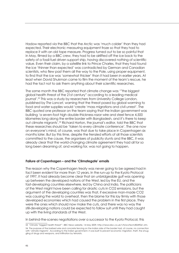Hadow reported via the BBC that the Arctic was 'much colder' than they had expected. Their electronic measuring equipment froze so that they had to replace it with an old tape measure. Progress turned out to be so painful that in May, filmed by a BBC crew, they had to be airlifted off the ice back to the safety of a fossil-fuel driven support ship, having discovered nothing of scientific value. Even their claim, by a satellite link to Prince Charles, that they had found the ice 'thinner than expected' was contradicted by German and Canadian scientists, who flew past them all the way to the Pole, using proper equipment, to find that the ice was 'somewhat thicker' than it had been in earlier years. At least when David Shukman came to film the moment of the team's rescue, he had the tact not to ask them anything about their scientific researches.

The same month the BBC reported that climate change was '"the biggest global health threat of the 21st century" according to a leading medical journal'.<sup>53</sup> This was a study by researchers from University College London, published by *The Lancet,* warning that the threat posed by global warming to food and water supplies would 'create 'mass migrations and civil unrest'. The BBC quoted one professor on the team saying that the Indian government was building 'a seven-foot high double-thickness razor wire and steel fence 4,500 kilometres long along the entire border with Bangladesh, and it's there to keep out climate migrants'.54 Richard Horton, the journal's editor, told the BBC that these researches should be 'taken to every climate conference'. The one now on everyone's mind, of course, was that due to take place in Copenhagen six months later. But by this time, despite the frenzied efforts of all those scientists committed to the cause, the organisers of publicity stunts and the BBC, it was already clear that the world-changing climate agreement they had all for so long been dreaming of, and working for, was not going to happen.

#### **Failure at Copenhagen – and the 'Climategate' emails**

The reason why the Copenhagen treaty was never going to be agreed had in fact been evident for more than 12 years. In the run-up to the Kyoto Protocol of 1997, it had already become clear that an unbridgeable gulf was opening up between the developed nations of the West, led by the EU, and the fast-developing countries elsewhere, led by China and India. The politicians of the West might have been calling for drastic cuts in CO2 emissions, but the argument of the developing countries was that, if excessive man-made CO2 was causing the world to overheat, then the blame for this lay firmly with those developed economies which had caused the problem in the first place. They were the ones which should now make the cuts, and there was no way the still-developing nations could be expected to follow suit until they had caught up with the living standards of the West.

In behind-the-scenes negotiations over a successor to the Kyoto Protocol, this

<sup>53 &#</sup>x27;Climate "biggest health threat"', BBC News website, 14 May 2009, http://news.bbc.co.uk/1/hi/sci/tech/8049061.stm. 54 The purpose of the barbed wire and concrete fencing on the Indian side of the border had, of course, no connection with 'climate migrants'. According to the Indian government, it was built to prevent economic migration, theft, the smuggling of drugs and weapons, and infiltration by terrorists.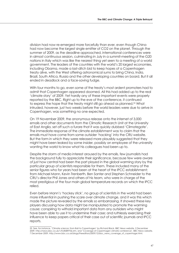division had now re-emerged more forcefully than ever, even though China had now become the largest single emitter of CO2 on the planet. Through the summer of 2009, as the deadline approached, international conferences were in almost continuous session, culminating in July in a summit-meeting of the G20 nations in Italy which was like the nearest thing yet seen to a meeting of a world government. The leaders of the countries with the world's 20 largest economies, including Obama, made a last-ditch bid to keep hopes of a Copenhagen treaty alive, with the West offering astronomical sums to bring China, India, Brazil, South Africa, Russia and the other developing countries on board. But it all ended in deadlock and a face-saving fudge.

With four months to go, even some of the treaty's most ardent promoters had to admit that Copenhagen appeared doomed. All this had added up to the real 'climate story' of 2009. Yet hardly any of these important events were properly reported by the BBC. Right up to the eve of the conference, it continued to express the hope that the treaty might still go ahead as planned.55 What intruded, however, just two weeks before the world leaders were due to arrive in Copenhagen, was something no one expected.

On 19 November 2009, the anonymous release onto the internet of 3,000 emails and other documents from the Climatic Research Unit at the University of East Anglia, set off such a furore that it was quickly dubbed 'Climategate'. The immediate response of the climate establishment was to claim that the emails must have come from some outsider 'hacking' into the CRU website. But the form in which they were released more plausibly suggested that they might have been leaked by some insider, possibly an employee of the university wanting the world to know what his colleagues had been up to.

Despite the storm of media interest aroused by the emails, few journalists had the background fully to appreciate their significance, because few were aware of just how central had been the part played in the global warming story by the particular group of scientists responsible for them. These included many of the senior figures who for years had been at the heart of the IPCC establishment; from Michael Mann, Kevin Trenberth, Ben Santer and Stephen Schneider to the CRU's director Phil Jones and others of his team, who were in charge of the most prestigious of the four main global temperature records on which the IPCC relied.

Even before Mann's 'hockey stick', no group of scientists in the world had been more influential in pushing the scare over climate change, and it was this which made the picture revealed by the emails so embarrassing. It showed these key players discussing how data might be manipulated to promote the warming cause; conspiring to withold important data from any outsiders who might have been able to use it to undermine their case; and ruthlessly exercising their influence to keep papers critical of their case out of scientific journals and IPCC reports.

<sup>55</sup> See, for instance, 'Climate science: from Bali to Copenhagen' by Richard Black, BBC News website, 2 December 2009, http://news.bbc.co.uk/1/hi/8389706.stm, and 'Coverage of Copenhagen climate conference', BBC News website, 7 December 2009, http://www.bbc.co.uk/blogs/theeditors/2009/12/bbc\_news\_coverage\_of\_copenhage.html.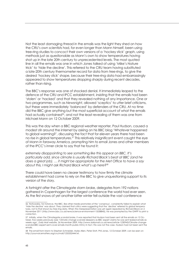Not the least damaging thread in the emails was the light they shed on how the CRU's own scientists had, for even longer than Mann himself, been using tree-ring studies to concoct their own versions of a 'hockey stick' graph, using methods just as questionable as Mann's own to show temperatures having shot up in the late 20th century to unprecedented levels. The most quoted line in all the emails was one in which Jones talked of using 'Mike's Nature trick' to 'hide the decline'. This referred to the CRU team having substituted a late-20th century thermometer record for data from tree-rings, to give the desired 'hockey stick' shape, because their tree-ring data had embarrassingly appeared to show temperatures dropping sharply during recent decades, rather than rising.

The BBC's response was one of shocked denial. It immediately leaped to the defence of the CRU and IPCC establishment, insisting that the emails had been 'stolen' or 'hacked' and that they revealed nothing of any importance. One or two programmes, such as *Newsnight*, allowed 'sceptics' to utter brief criticisms, but these were immediately 'balanced' by defenders of the CRU. At no time did the BBC give anything but the most superficial account of what the emails had actually contained<sup>56</sup>, and not the least revealing of them was one from Michael Mann on 12 October 2009.

This was the day when a BBC regional weather reporter, Paul Hudson, caused a modest stir around the internet by asking on his BBC blog 'Whatever happened to global warming?', discussing the fact that for eleven years there had been no rise in global temperatures.<sup>57</sup> This relatively insignificant event caught the eye of Mann in faraway America, prompting him to email Jones and other members of the IPCC's inner circle to say that he found it:

*extremely disappointing to see something like this appear on BBC. It's particularly odd, since climate is usually Richard Black's beat at BBC (and he does a great job). … it might be appropriate for the Met Office to have a say about this, I might ask Richard Black what's up here?58*

There could have been no clearer testimony to how firmly the climate establishment had come to rely on the BBC to give unquestioning support to its version of the story.

A fortnight after the Climategate storm broke, delegates from 192 nations gathered in Copenhagen for the largest conference the world had ever seen. As the first snows of yet another bitter winter fell outside the vast conference

<sup>56</sup> Noticeably, for instance, the BBC, like other media promoters of the 'consensus', consistently failed to explain what 'hide the decline' was about. They claimed that critics were suggesting that the 'decline' referred to global temperatures, not to that shown by tree ring data. When this misrepresentation was yet again repeated by Richard Black on 2 November 2011 (http://www.bbc.co.uk/news/science-environment-15538845), he was prompted by the GWPF to print a correction.

<sup>57</sup> Initially, when the Climategate scandal broke, it was reported that Hudson had been sent all the emails on 12 October, five weeks previously (see 'Climate change scandal deepens as BBC expert claims he was sent leaked emails six weeks ago', *Daily Mail* website, 26 November 2009, http://www.dailymail.co.uk/news/article-1230943/Climate-changescandal-BBC-expert-sent-cover-emails-month-public.html.) In fact, this was not the case. Hudson had not been sent the emails.

<sup>58</sup> The email from Mann to Stephen Schneider, Myles Allen, Peter Stott, Phil Jones, 12 October 2009, can be seen on http://yourvoicematters.org/cru/mail/1255352444.txt.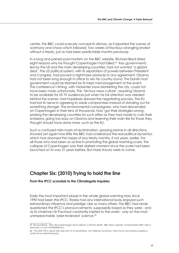centre, the BBC could scarcely conceal its dismay, as it reported the scenes of acrimony and chaos which followed. Two weeks of fractious wrangling ended without a treaty, just as had been predictable months previously.

In a long and pained post-mortem on the BBC website, Richard Black listed eight reasons why he thought Copenhagen had failed.<sup>59</sup> 'Key governments', led by the US and the main developing countries, had not wanted 'a global deal'. The US political system, with its separation of powers between President and Congress, had proved a nightmare obstacle to any agreement. Obama had not been long enough in office to win his country round. The Danish host government could be blamed for its inept mismanagement of the event. The conference's timing, with midwinter snow blanketing the city, could not have been more unfortunate. The '24-hour news culture', requiring Obama to be available for US TV audiences just when his full attention was needed behind the scenes, had hopelessly skewed the negotiating process. The EU had lost its nerve in agreeing to weak compromises instead of standing out for something stronger. The environmental campaigners, who had descended on Copenhagen in their tens of thousands, had 'got their strategies wrong', praising the developing countries for such offers as they had made to curb their emissions, going too easy on Obama and reserving their main fire for those they thought should have done more, such as the EU.

Such a confused mish-mash of recrimination, spraying blame in all directions, showed yet again how little the BBC had understood the real political dynamics which had doomed the hopes of any treaty months, if not years, earlier, For all those who had been so active in promoting the global warming scare, the collapse of Copenhagen was their darkest moment since the scare had been launched on its way 21 years before. But more shocks were to come.

# **Chapter Six: (2010) Trying to hold the line**

### **From the IPCC scandals to the Climategate inquiries**

Easily the most important player in the whole global warming story since 1990 had been the IPCC. Rarely had any international body enjoyed such extraordinary influence and prestige. Like so many others, the BBC had never questioned the IPCC's pronouncements, supposedly based as they were - and as its chairman Dr Pachauri constantly insisted to the world - only on the most unimpeachable 'peer-reviewed' science.<sup>60</sup>

<sup>59</sup> Richard Black, 'Why did Copenhagen fail to deliver a climate deal?', BBC News website, 22 December 2009, http:// news.bbc.co.uk/1/hi/8426835.stm.

<sup>60 &#</sup>x27;The 2007 IPCC report falls well short of its advertising', No Frakking Consensus, http://www.noconsensus.org/ipccaudit/not-as-advertised.php.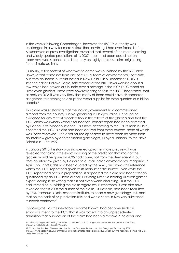In the weeks following Copenhagen, however, the IPCC's authority was challenged in a way far more serious than anything it had ever faced before. A succession of press investigations revealed that several of the more alarming and widely-quoted predictions of its 2007 report had been based not on 'peer-reviewed science' at all, but only on highly dubious claims originating from climate activists.

Curiously, a first portent of what was to come was published by the BBC itself. However this came not from any of its usual team of environmental specialists, but from an Indian journalist based in New Delhi. On 5 December, NDTV's science editor, Pallava Bagla, told readers of the BBC News website about a row which had broken out in India over a passage in the 2007 IPCC report on Himalayan glaciers. These were now retreating so fast, the IPCC had stated, that as early as 2035 it was very likely that many of them could have disappeared altogether, threatening to disrupt the water supplies for three quarters of a billion people.<sup>61</sup>

This claim was so startling that the Indian government had commissioned a report from the country's senior glaciologist, Dr Vijay Raina. He found no evidence for any recent acceleration in the retreat of the glaciers and that the IPCC claim was wholly without foundation. Raina's report had been dismissed by Pachauri as 'voodoo science'. But now, according to the BBC's man in Delhi, it seemed the IPCC's claim had been derived from three sources, none of which was 'peer-reviewed'. The chief source appeared to have been no more than an interview given by another Indian glaciologist, Dr Syed Hasnain, to the New Scientist in June 1999.

In January 2010 this story was sharpened up rather more precisely. It was revealed that almost the exact wording of the prediction that most of the glaciers would be gone by 2035 had come, not from the New Scientist, but from an interview given by Hasnain to a small Indian environmental magazine in April 1999. In 2005 this had been quoted by the WWF, and it was this reference which the IPCC report had given as its main scientific source. Even while the IPCC report had been in preparation, it appeared the claim had been strongly questioned by an IPCC lead author, Dr Georg Kaser, a leading Austrian glacier expert, calling it 'so wrong that it is not even worth discussing'. But the IPCC had insisted on publishing the claim regardless. Furthermore, it was also now revealed that in 2008 the author of the claim, Dr Hasnain, had been recruited by TERI, Pachauri's Delhi research institute, to head a new glaciology unit, and that on the basis of his prediction TERI had won a share in two very substantial research contracts.62

'Glaciergate', as this inevitably became known, had become such an embarrassment to the IPCC that it was forced into an unprecedented admission that publication of the claim had been a mistake. 'The clear and

<sup>61 &#</sup>x27;Himalayan glaciers melting deadline "a mistake"', Pallava Bagla, BBC News website, 5 December 2009, http://news.bbc.co.uk/1/hi/8387737.stm.

<sup>62</sup> Christopher Booker, 'The real story behind the Glaciergate row', *Sunday Telegraph*, 24 January 2010, http://www.telegraph.co.uk/comment/columnists/christopherbooker/7062667/Pachauri-the-real-story-behind-the-Glaciergate-scandal.html.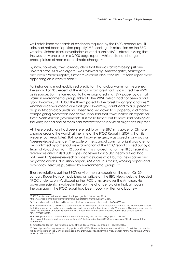well-established standards of evidence required by the IPCC procedures', it said, had not been 'applied properly'.<sup>63</sup> Reporting this retraction on the BBC website, Richard Black nevertheless quoted a senior IPCC official insisting that this was 'only one error in a 3,000 page report', which 'did not change the broad picture of man-made climate change'.<sup>64</sup>

By now, however, it was already clear that this was far from being just one isolated error. As 'Glaciergate' was followed by 'Amazongate', 'Africagate' and even 'Pachaurigate', further revelations about the IPCC's forth report were appearing on a weekly basis.<sup>65</sup>

For instance, a much-publicised prediction that global warming threatened the survival of 40 percent of the Amazon rainforest had again cited the WWF as its source. But this turned out to have originated in a 1999 paper by a small Brazilian environmental group, linked to the WWF, which had not been about global warming at all, but the threat posed to the forest by logging and fires.<sup>66</sup> Another widely-quoted claim that global warming could lead to a 50 percent drop in African crop yields had been tracked down to a paper by a climatecampaigning Moroccan academic, who said that it was based on reports for three North African governments. But these turned out to have said nothing of the kind; indeed one of them had forecast that crop yields might actually rise.<sup>67</sup>

All these predictions had been referred to by the BBC in its guide to 'Climate change around the world' at the time of the IPCC Report in 2007 (still on its website four years later). But none, it now emerged, was based in any way on 'peer-reviewed science'. The scale of the scandal coming to light was later to be confirmed by a meticulous examination of the IPCC report carried out by a team of 40 auditors from 12 countries. This showed that of the 18,531 scientific references cited in its 3,000 pages, no fewer than 5,587, nearly a third, had not been to 'peer-reviewed' academic studies at all, but to 'newspaper and magazine articles, discussion papers, MA and PhD theses, working papers and advocacy literature published by environmental groups'.<sup>68</sup>

These revelations put the BBC's environmental experts on the spot. On 30 January Roger Harrabin published an article on the BBC News website, headed 'IPCC under scrutiny', discussing the IPCC's mistake over the Amazon. He gave one scientist involved in the row the chance to claim that, although the passage in the IPCC report had been 'poorly written and bizarrely

<sup>63</sup> IPCC statement on the melting of Himalayan glaciers', 20 January 2010,

http://www.ipcc.ch/pdf/presentations/himalaya-statement-20january2010.pdf.

<sup>64 &#</sup>x27;UN body admits mistake' on Himalayan glaciers', http://news.bbc.co.uk/1/hi/8468358.stm

<sup>65</sup> In February the IPCC admitted a second error in its 2007 report, after it was pointed out that the report had claimed that 55 percent of the Netherlands was below sea-level when the true figure is only 29 percent .UN climate panel admits Dutch sea level flaw', *Reuters*, 13 February 2010. http://www.reuters.com/article/2010/02/13/us-climate-seas-idUS-TRE61C1V420100213.

<sup>66</sup> Christopher Booker, 'We reach the source of Amazongate', *Sunday Telegraph*, 11 July 2010, http://www.telegraph.co.uk/comment/columnists/christopherbooker/7883372/Amazongate-At-last-we-reach-thesource.html.

<sup>67</sup> Christopher Booker, 'The withering away of the IPCC', *Sunday Telegraph,* 14 February 2010.

<sup>68</sup> See http://nofrakkingconsensus.blogspot.com/2010/05/citizen-audit-report-is-now-pdf.html. For a fuller account by the audit's organiser, see Donna Laframboise, *The Delinquent Teenager Who Was Mistaken for the World's Top Climate Expert*, Kindle Edition, 2011.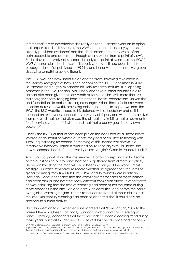referenced', it was nevertheless 'basically correct'. Harrabin went on to opine that papers from bodies such as the WWF often offered 'an easy synthesis of already published evidence' and that, in his experience, they were 'often both accessible and accurate – though clearly written from a point of view'. But he thus defensively sidestepped the only real point at issue: that the IPCC/ WWF Amazon claim had no scientific basis whatever. It had been lifted from a propaganda leaflet published in 1999 by another environmental activist group discussing something quite different.

The IPCC was also now under fire on another front, following revelations in the *Sunday Telegraph* of how, since becoming the IPCC's chairman in 2002, Dr Pachauri had hugely expanded his Delhi research institute, TERI, opening branches in the USA, London, Abu Dhabi and several other countries in Asia. He had also been given positions worth millions of dollars with more than 20 major organisations, ranging from international banks, corporations, universities and foundations to carbon trading exchanges. When these disclosures were reported across the world, provoking calls for Pachauri to step down from the IPCC, the BBC website leaped to his defence with a laudatory profile. This touched on his business connections only very obliquely and without details. But it emphasised that he had dismissed the allegations, insisting that all payments for his services went to his institute and that 'not a penny goes into my own pocket'.69

Clearly the BBC's journalists had been put on the back foot by all these blows levelled at an institution whose authority they had been used to treating with such unquestioning reverence. Something of this unease was shown in a remarkable interview Harrabin published on 13 February with Phil Jones, the now-suspended head of the University of East Anglia's Climatic Research Unit.70

A first unusual point about this interview was Harrabin's explanation that some of the questions he put to Jones had been 'gathered from climate sceptics', He began by asking the man who had been in charge of the world's most prestigious surface temperature record whether he agreed that 'the rates of global warming from 1860-1880, 1910-1940 and 1975-1998 were identical?'. Startlingly, Jones conceded that the warming rates for each of these periods had been 'similar and not statistically different from each other'. In other words, he was admitting that the rate of warming had been much the same during those decades in the late 19th and early 20th centuries, long before the panic over global warming began. Yet this rather contradicted all those claims that the late 20th century warming had been so abnormal that it could only be ascribed to human activity.

Harrabin went on to ask whether Jones agreed that 'from January 2002 to the present there has been statistically significant global cooling?'. Here again, Jones surprisingly conceded that there had indeed been a cooling trend during those years, but that this decline at a rate of 0.12C per decade had not been

http://news.bbc.co.uk/1/hi/8499845.stm. The detailed investigation of Pachauri's business dealings was carried out by Dr Richard North and myself, and published in the *Sunday Telegraph* on three occasions in January 2010.

<sup>69 &#</sup>x27;Profile: climate chief Rajendra Pachauri', BBC News website, 5 February 2010,

<sup>70 &#</sup>x27;Q and A: Professor Phil Jones, BBC News website, 13 February 2010, http://news.bbc.co.uk/1/hi/8511670.stm.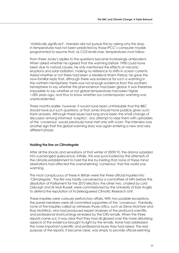'statistically significant'. Harrabin did not pursue this by asking why this drop in temperatures had not been predicted by those IPCC's computer models programmed to assume that, as CO2 levels rose, temperatures must follow.

From there Jones's replies to the questions became increasingly ambivalent. When asked whether he agreed that the warming before 1998 could have been due to natural causes, he only mentioned the effects of volcanic eruptions and solar radiation, making no reference to shifts in ocean currents. Asked whether or not there had been a Medieval Warm Period, he gave the now-familiar reply that, although there was evidence for such a warming in the northern hemisphere, there was not enough evidence from the southern hemisphere to say whether this phenomenon had been global. It was therefore impossible to say whether or not global temperatures had been higher 1,000 years ago, and thus to know whether our contemporary warming was unprecedented.

Three months earlier, however, it would have been unthinkable that the BBC should have put such questions, or that Jones should have publicly given such frank answers. Although these issues had long since been the small change of discussion among informed 'sceptics', any attempt to raise them with upholders of the 'consensus' would previously have met only with scorn. The interview was another sign that the global warming story was again entering a new and very different phase.

#### **Holding the line on Climategate**

After all the shocks and sensations of that winter of 2009/10, the drama subsided into a prolonged quiescence. Initially, this was punctuated by the attempts of the climate establishment to hold the line by insisting that none of these minor aberrations had affected the overwhelming 'consensus' that the world was warming.

The most conspicuous of these in Britain were the three official inquiries into 'Climategate'. The first was hastily convened by a committee of MPs before the dissolution of Parliament for the 2010 election; the other two, chaired by Lord Oxburgh and Sir Muir Russell, were commissioned by the University of East Anglia to defend the reputation of its beleaguered Climatic Research Unit.

These inquiries were curiously perfunctory affairs. With two possible exceptions, the panel members were all committed supporters of the 'consensus'. Pointedly, none of the inquiries called as witnesses those critics, such as Steve McIntyre and Ross McKitrick, who had produced expert analyses of the profound scientific and professional shortcomings revealed by the CRU emails. When the three reports came out, it was clear that they had all glossed over the more disturbing aspects of the evidence brought to light by the emails. None had addressed the more important scientific and professional issues they had raised. The real purpose of the reports, it became clear, was simply to provide official-seeming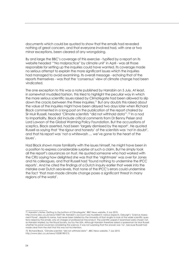documents which could be quoted to show that the emails had revealed nothing of great concern, and that everyone involved had, with one or two minor exceptions, been cleared of any wrongdoing.

By and large the BBC's coverage of this exercise - typified by a report on its website headed '"No malpractice" by climate unit' in April - was all those responsible for setting up the inquiries could have wanted. Its coverage made no serious attempt to explain the more significant issues which the inquiries had managed to avoid examining. Its overall message - echoing that of the reports themselves - was that the 'consensus' view of climate change had been vindicated.

The one exception to this was a note published by Harrabin on 5 July. At least, in somewhat muddled fashion, this tried to highlight the peculiar way in which the more serious scientific issues raised by Climategate had been allowed to slip down the cracks between the three inquiries.71 But any doubts this raised about the value of the inquiries might have been allayed two days later when Richard Black commented in a long post on the publication of the report chaired by Sir Muir Russell, headed 'Climate scientists "did not withhold data"'.72 In a nod to impartiality, Black did include critical comments from Dr Benny Peiser and Lord Lawson of the Global Warming Policy Foundation. But the accusations of sceptics, Black asserted, had been 'largely dismissed by the report'. He quoted Russell as saying that 'the rigour and honesty' of the scientists was 'not in doubt', and that his report was 'not a whitewash … we've gone to the heart of the issues'.

Had Black shown more familiarity with the issues himself, he might have been in a position to express considerable surprise at such a claim. But he simply took all the report's assurances on trust. He quoted someone who had worked with the CRU saying how delighted she was that the 'nightmare' was over for Jones and his colleagues, and that Russell had 'found nothing to undermine the IPCC reports'. And he cited the findings of a Dutch inquiry earlier that week into the mistake over Dutch sea-levels, that none of the IPCC's errors could undermine the fact 'that man-made climate change poses a significant threat in many regions of the world'.

<sup>71</sup> Harrabin's Notes: Getting to the bottom of Climategate', BBC News website, 5 July 2010,

http://www.bbc.co.uk/news/10507144. Harrabin's account was muddled in various respects. Oxburgh's 'Science Assessment Panel', despite its name, had never been briefed by the University of East Anglia to look at the wider scientific questions raised by the emails, only at charges of professional misconduct. The scientific papers it examined were chosen not, as Harrabin implied, by the Royal Society, but by the UEA. Although Harrabin therefore asked a spokesman for Muir Russell whether his panel would be considering the science, it was not surprising that the answer was 'no', because Russell had made clear from the start that this was not his intention.

<sup>72</sup> Richard Black, 'Climate scientists "did not withhold data"', BBC News website, 7 July 2010. http://www.bbc.co.uk/news/1053819810`0.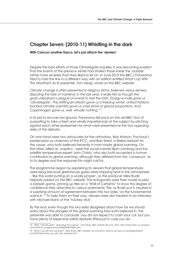# **Chapter Seven: (2010-11) Whistling in the dark**

#### **With Cancun another fiasco, let's just attack the 'deniers'**

Despite the best efforts of those Climategate inquiries, it was becoming evident that the events of the previous winter had shaken those inside the 'bubble' rather more severely than they liked to let on. In June 2010 the BBC's Panorama tried to hold the line in a different way with an edition entitled *What's Up With The Weather?* As its presenter, Tom Heap, wrote on the BBC website:

*Climate change is often presented in religious terms, believers versus deniers, disputing the fate of mankind. In the last year, it really felt as though the gods unleashed a plague of events to test the faith. Dodgy e-mails gave us 'climategate'. The shifting jet-stream gave us a freezing winter. United Nationsbacked climate scientists gave us crass errors of glacial proportions. And Copenhagen gave us, well, virtually nothing'.73*

In its bid to recover lost ground, Panorama fell back on the old BBC trick of purporting to take a fresh and wholly impartial look at the subject by pitching against each other spokesmen for what were presented as the two opposing sides of the debate.

On one hand were two advocates for the orthodoxy, Bob Watson, Pachauri's predecessor as chairman of the IPCC, and Bob Ward, a tireless lobbyist for the cause, who both believed fervently in man-made global warming. On the other, billed as 'sceptics', were the social scientist Bjorn Lomborg and the satellite temperature expert John Christy, who also both accepted a human contribution to global warming, although they differed from the 'consensus' as to its degree and the response this might call for.

The programme began by explaining to viewers that global temperatures were rising because greenhouse gases were trapping heat in the atmosphere - 'like the world putting on a woolly jumper', as the producer Mike Rudin helpfully added on the BBC website. The antagonists were then made to play a babyish game, pinning up tiles on a 'Wall of Certainty' to show the degree of confidence they attached to various statements. This, as Rudin put it, resulted in a surprising amount of agreement between the two sides 'on the fundamental science'.<sup>74</sup> To help them on their way, viewers were also treated to an interview with Michael Mann of the 'hockey stick'.

By the end, even though the two sides disagreed about how far we should worry about the dangers of the global warming they both believed in, the presenter was able to conclude 'you do not expect to crash your car, but you have plenty of expensive safety features fitted just in case you do'.

<sup>73 &#</sup>x27;After "climate-gate": dissecting the science', Tom Heap, BBC website 28 June, 2010. http://news.bbc.co.uk/panorama/hi/front\_page/newsid\_8758000/8758352.stm.

<sup>74 &#</sup>x27;What's up with the weather?', Mike Rudin, BBC website, 24 June 2010. http://www.bbc.co.uk/blogs/theeditors/2010/06/whats\_up\_with\_the\_weather.html.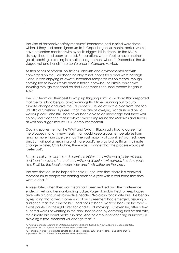The kind of 'expensive safety measures' Panorama had in mind were those which, if they had been signed up to in Copenhagen six months earlier, would have presented mankind with by far its biggest bill in history. To the BBC's dismay, these had been rejected. Preparations were afoot to have another go at reaching a binding international agreement,when, in December, the UN staged yet another climate conference in Cancun, Mexico.

As thousands of officials, politicians, lobbyists and environmental activists converged on the Caribbean holiday resort, hopes for a deal were not high. Cancun was enjoying its lowest December temperatures on record, though nothing like so low as those back in frozen, snow-bound Britain, which was shivering through its second coldest December since local records began in 1659.

The BBC team did their best to whip up flagging spirits, as Richard Black reported that the talks had begun 'amid warnings that time is running out to curb climate change and save the UN process'. He led off with a plea from 'the top UN official Christiana Figueres' that 'the fate of low-lying islands should be "a wake-up call"' (the BBC had never been able to acknowledge that there was no physical evidence that sea-levels were rising round the Maldives and Tuvalu, as was only suggested by IPCC computer models).

Quoting spokesmen for the WWF and Oxfam, Black sadly had to agree that the prospects for any new treaty that would keep global temperatures from rising no more than 2 percent, as 'the vast majority of countries' wanted, were slim. But 'without a meaningful climate pact', he was told by Britain's climate change minister, Chris Huhne, there was a danger that the process would just 'peter out':

*People next year won't send a senior minister, they will send a junior minister, and then the year after that they will send a senior civil servant. In a few years time it will be the local ambassador and it will wither on the vine'.*

The best that could be hoped for, said Huhne, was that 'there is a renewed momentum so people are coming back next year with a real sense that they want a deal'.<sup>75</sup>

A week later, when their worst fears had been realised and the conference ended in yet another non-binding fudge, Roger Harrabin tried to keep hopes alive with a Cancun retrospective headed 'No crash for climate bus'. He began by rejoicing that at least some kind of an agreement had emerged, assuring his audience that 'the climate bus' had not just been 'yanked back on the road – it was pointed in the right direction and it's still moving'. But even he, after a few hundred words of whistling in the dark, had to end by admitting that 'at this rate, the climate bus won't make it in time. And no amount of cheering its success in avoiding a fatal accident will change that'.76

<sup>75 &#</sup>x27;Climate change warning at UN Cancun summit', Richard Black, BBC News website, 8 December 2010. http://www.bbc.co.uk/news/science-environment-11984066.

<sup>76</sup> Harrabin's Notes: 'No crash for climate bus', Roger Harrabin, BBC News website, 13 December 2010. http://www.bbc.co.uk/news/science-environment-11984066.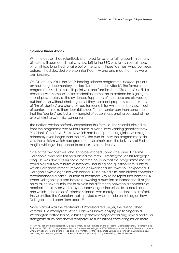### **'Science Under Attack**'

With the cause it had relentlessly promoted for so long falling apart in so many directions, it seemed all that was now left to the BBC was to lash out at those whom it had long tried to write out of the script – those 'deniers' who, four years before, it had decided were so insignificant, wrong and mad that they were best ignored.

On 24 January 2011, the BBC's leading science programme, *Horizon*, put out an hour-long documentary entitled 'Science Under Attack'. The formula the programme used to make its point was one familiar since *Climate Wars*. First a presenter with some scientific credentials comes on to pretend he is going to look dispassionately at the evidence. Supporters of the cause are allowed to put their case without challenge, as if they represent proper 'science'. Hours of film of 'deniers' are cherry-picked for sound bites which can be shown, out of context, to make them look ridiculous. The presenter can then conclude that the 'deniers' are just a tiny handful of eccentrics standing out against the overwhelming scientific 'consensus'.

The Horizon version perfectly exemplified this formula. The scientist picked to front the progamme was Sir Paul Nurse, a Nobel Prize-winning geneticist now President of the Royal Society, which had been promoting global warming orthodoxy even longer than the BBC. The cue to justify the programme's title was the criticism which had greeted those emails from the University of East Anglia, which just happened to be Nurse's old university.

One of the two 'deniers' chosen to be stitched up was the journalist James Delingpole, who had first popularised the term 'Climategate' on his Telegraph blog. He was filmed at his home for three hours so that the programme makers could pick out two minutes of interview, including one question from Nurse to which Delingpole rather fumbled an answer because it was so unexpected. If Delingpole was diagnosed with cancer, Nurse asked him, and clinical consensus recommended a particular form of treatment, would he reject that consensus? When Delingpole paused before answering a question so loaded that it might have taken several minutes to explain the difference between a consensus of medical certainty arrived at by decades of genuine scientific research and one which in the case of 'climate science' was merely a tendentious artefact, this so excited the Guardian that it posted a whole article on its blog on how Delingpole had been 'torn apart'.<sup>77</sup>

More blatant was the treatment of Professor Fred Singer, the distinguished veteran US astrophysicist. After Nurse was shown cosying up to Singer in a Washington coffee house, a brief clip showed Singer explaining how a particular stalagmite study had shown temperature fluctuations correlating much more

<sup>77 &#</sup>x27;Oh no, not another unbiased BBC documentary about "climate change"', James Delingpole's *Daily Telegraph* blog 24 January 2011. http://blogs.telegraph.co.uk/news/jamesdelingpole/100073116/oh-no-not-another-unbiased-bbc-documentary-about-climate-change. See also 'The TV interview that tied James Delingpole's tongue', *Guardian Environment Blog*, http://www.guardian.co.uk/environment/blog/2011/jan/24/james-delingpole-tv-interview.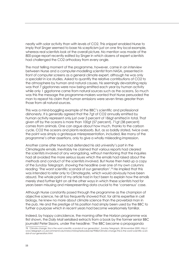neatly with solar activity than with levels of CO2. This snippet enabled Nurse to imply that Singer seemed to base his scepticism just on one tiny local example, whereas real scientists look at the overall picture. No mention was made of the 800-page report recently edited by Singer in which dozens of expert scientists had challenged the CO2 orthodoxy from every angle.

The most telling moment of the programme, however, came in an interview between Nurse and a computer-modelling scientist from NASA, presented in front of computer screens as a general climate expert, although he was only a specialist in ice studies. Asked to quantify the relative contributions of CO2 to the atmosphere by human and natural causes, his seemingly devastating reply was that 7 gigatonnes were now being emitted each year by human activity while only 1 gigatonne came from natural sources such as the oceans, So much was this the message the programme-makers wanted that Nurse persuaded the man to repeat his claim that human emissions were seven times greater than fhose from all natural sources.

This was a mind-boggling example of the BBC's scientific and professional dishonesty. It is generally agreed that the 7gt of CO2 annually emitted by human activity represent only just over 3 percent of 186gt emitted in total. That given off by the oceans is more than 100gt (57 percent). 71gt (38 percent) comes from animals. One can argue about how much, thanks to the carbon cycle, CO2 the oceans and plants reabsorb. But, as so baldly stated, twice over, the point was simply a grotesque misrepresentation, included, like many of the programme's other assertions, only to give a wholly misleading impression.

Another came after Nurse had defended his old university's part in the Climategate emails. Inevitably he claimed that various reports had cleared the scientists involved of any wrongdoing, without mentioning that the inquiries had all avoided the more serious issues which the emails had raised about the methods and conduct of the scientists involved. But Nurse then held up a copy of the *Sunday Telegraph*, showing the headline over one of my own columns reading 'The worst scientific scandal of our generation'.78 He implied that this was intended to refer only to Climategate, which would obviously have been absurd. The whole point of my article had in fact been to explain how the emails merely shed further light on all the other ways in which these scientists had for years been misusing and misrepresenting data crucial to the 'consensus' case.

Although Nurse constantly posed through the programme as the champion of objective science, he all too frequently showed that, for all his expertise in cell biology, he knew no more about climate science than the proverbial man in the pub. He and the prestige of his position had simply been used by the BBC to further a purpose which in recent years had become wearisomely familiar.

Indeed, by happy coincidence, the morning after the Horizon programme was first shown, the *Daily Mail* serialised extracts from a book by the former senior BBC journalist Peter Sissons, under the headline: 'The BBC became a propaganda

<sup>78 &#</sup>x27;Climate change: this is the worst scientific scandal of our generation', *Sunday Telegraph*, 28 November 2009. http:// www.telegraph.co.uk/comment/columnists/christopherbooker/6679082/Climate-change-this-is-the-worst-scientific-scandal-of-our-generation.html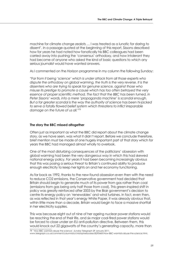machine for climate change zealots … I was treated as a lunatic for daring to dissent'. In a passage quoted at the beginning of this report, Sissons described how for years he had noted how fanatically his BBC colleagues had been carried away into pushing the 'consensus' orthodoxy, and how intolerant they had become of anyone who asked the kind of basic questions to which any serious journalist would have wanted answers.

As I commented on the *Horizon* programme in my column the following Sunday:

*"Far from it being 'science' which is under attack from all those experts who dispute the orthodoxy on global warming, the truth is the very reverse. It is the dissenters who are trying to speak for genuine science, against those who misuse its prestige to promote a cause which has too often betrayed the very*  essence of proper scientific method. The fact that the BBC has been turned, in *Peter Sissons' words, into a mere 'propaganda machine' is scandal enough. But a far greater scandal is the way the authority of science has been hi-jacked to serve a fatally flawed belief system which threatens to inflict irreparable damage on the future of us all."79*

#### **The story the BBC missed altogether**

Often just as important as what the BBC did report about the climate change story, as we have seen, was what it didn't report. Before we conclude therefore, brief mention must be made of one hugely important part of that story which for years the BBC had managed almost wholly to overlook.

One of the most disturbing consequences of the politicians' obsession with global warming had been the very dangerous way in which this had skewed national energy policy. For years it had been becoming increasingly obvious that this was posing a serious threat to Britain's continued ability to produce enough electricity to keep her lights on and her economy functioning.

As far back as 1992, thanks to the new-found obsession even then with the need to reduce CO2 emissions, the Conservative government had decided that Britain should begin to generate much of its power from gas rather than coal (emissions from gas being only half those from coal). This green-inspired shift in policy was greatly reinforced after 2003 by the Blair government's decision to centre its energy policy on 'renewables' and wind turbines. In fact, even then, as was reflected in that year's energy White Paper, it was already obvious that, within little more than a decade, Britain would begin to face a massive shortfall in her electricity supplies.

This was because eight out of nine of her ageing nuclear power stations would be reaching the end of their life, and six major coal-fired power stations would be forced to close under an EU anti-pollution directive. Between them, this would knock out 22 gigawatts of the country's generating capacity, more than

<sup>79 &#</sup>x27;How BBC warmists abuse the science', *Sunday Telegraph* 29 January 2011, www.telegraph.co.uk/comment/columnists/christopherbooker/8290469/How-BBC-warmists-abuse-the-science.html.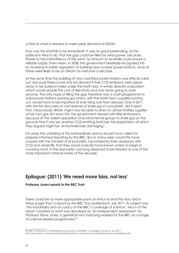a third of what is needed to meet peak demand of 60GW.

How was this shortfall to be remedied? It was no good pretending, as the politicians tried to do, that the gap could be filled by wind power, because, thanks to the intermittency of the wind, no amount of windmills could ensure a reliable supply. Even when, in 2008, the government belatedly recognised this by reversing its earlier opposition to building new nuclear power stations, none of these were likely to be on stream for well over a decade.

At the same time the building of new coal-fired power stations was effectly ruled out, because these could only be allowed if their CO2 emissions were piped away to be buried in holes under the North Sea. A wholly Quixotic proposition which would double the cost of electricity and was never going to work anyway. The only hope of filling the gap therefore was a crash programme to build power stations burning gas which, with the North Sea's supplies running out, would have to be imported at ever rising cost from abroad. Only in 2011, with the first discovery of vast reserves of shale gas in Lancashire, did it seem that, miraculously, Britain might now be able to draw on almost limitless supplies of her own gas. But even this, the government viewed with little enthusiasm, because of the violent opposition of environmental groups to shale gas on the grounds that it was yet another CO2-emitting fossil fuel, the exploitation of which they argued might be 'environmentally damaging'.

For years the unfolding of this extraordinary drama should have called for properly informed reporting by the BBC. But so many wires would this have crossed with the mindset of its journalists, hypnotised by their obsessions with CO2 and windmills, that they would scarcely have known where to begin in covering what, in the real world, had long deserved to be treated as one of the more important national stories of the decade.

# **Epilogue: (2011) 'We need more bias, not less'**

### **Professor Jones reports to the BBC Trust**

There could be no more appropriate point on which to end the story told in these pages than a report by the BBC Trust published in July 2011. Its subject was 'the impartiality and accuracy of the BBC's coverage of science', Much of the report consisted of what was described as 'an independent assessment' by Professor Steve Jones, a geneticist who had long worked for the BBC on a range of science-related programmes.<sup>80</sup>

<sup>80</sup> BBC Trust Review of impartiality and accuracy of the BBC's coverage of science. July 2011.

http://www.bbc.co.uk/bbctrust/assets/files/pdf/our\_work/science\_impartiality/science\_impartiality.pdf.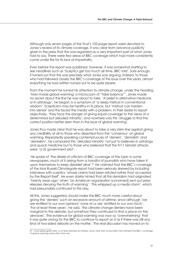Although only seven pages of the Trust's 102-page report were devoted to Jones's review of its climate coverage, it was clear from advance publicity given in the press that this was regarded as a very important part of what Jones had to say. There were few areas of BBC coverage which had more consistently come under fire for its lack of impartiality.

Even before the report was published, however, it was somewhat startling to see headlines such as 'Sceptics get too much air-time, BBC told'. Sure enough, it turned out that this was precisely what Jones was arguing. Indeed, to those who had followed closely the BBC's coverage of this issue over the years, almost everything he had written turned out to be quite bizarre.

From the moment he turned his attention to climate change, under the heading 'Man-made global warming: a microcosm of "false balance"', Jones made no secret about the line he was about to take. 'A belief in alternative medicine or in astrology', he began, is a symptom of 'a deep mistrust in conventional wisdom'. Scepticism may be healthy in its place, but 'mistrust can harden into denial' and this faced the media with a problem. In their desire to report objectively, 'they face the danger of giving equal coverage to the views of a determined but deluded minority'; and nowhere was this 'struggle to find the correct position better seen than in the issue of global warming'.

Jones thus made clear that he was about to take a very stern line against giving any credibility at all to those who dissented from the 'consensus' on global warming. Repeatedly speaking contemptuously of 'deniers', 'denialists' and 'denialism', he compared this 'deluded minority' not just to believers in astrology and quack medicine but to those who believed that the 9/11 terrorist attacks were 'a US government plot'.

 He spoke of 'the drizzle of criticism of BBC coverage of the topic in some newspapers, much of it arising from a handful of journalists who have taken it upon themselves to keep disbelief alive'.<sup>81</sup> He claimed that the BBC's coverage of the Muir Russell Climategate report had been seriously skewed by including interviews with sceptics 'whose claims had been refuted rather than accepted by the Report itself'. He even darkly hinted that all this denialism had originated 'twenty years ago' when 'an American organisation [unnamed] sent out press releases denying the truth of warming'. 'This whipped up a media storm', which had presumably continued to this day.

All this, Jones suggested, should make the BBC much more careful about giving the 'deniers' such an excessive amount of airtime, since although 'we are entitled to our own opinions' none of us are 'entitled to our own facts'. 'For at least three years', he said, 'the climate change deniers have been marginal to the debate, but somehow they continued to find a place on the airwaves'. The evidence for global warming was now so 'overwhelming' that it was quite wrong for the BBC to continue to report on it as if there was still any kind of two-sided debate on the matter. 'The real discussion has moved on to

<sup>81</sup> I must plead guilty here, or at least declare an interest, since I fear that no journalist had criticised the BBC's coverage of global warming more often than me.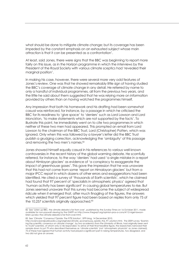what should be done to mitigate climate change; but its coverage has been impeded by the constant emphasis on an exhausted subject whose main attraction is that it can be presented as a confrontation'.

At least, said Jones, there were signs that the BBC was beginning to report more fairly on this issue, as in the Horizon programme in which the interviews by the President of the Royal Society with various climate sceptics had 'revealed their marginal position'.

In making his case, however, there were several more very odd features of Jones's review. One was that he showed remarkably little sign of having studied the BBC's coverage of climate change in any detail. He referred by name to only a handful of individual programmes, all from the previous two years, and the little he said about them suggested that he was relying more on information provided by others than on having watched the programmes himself.

Any impression that both his homework and his drafting had been somewhat casual was reinforced, for instance, by a passage in which he criticised the BBC for its readiness to 'give space' to 'deniers' such as Lord Lawson and Lord Monckton, 'to make statements which are not supported by the facts'. To illustrate this point, he immediately went on to cite two programmes in which neither of these two men had appeared. This prompted an email from Lord Lawson to the chairman of the BBC Trust, Lord (Christopher) Patten, which was ignored. Only when this was followed by a lawyer's letter did the BBC Trust publish a grudging correction, acknowledging the 'ambiguity' of this passage and removing the two men's names.<sup>82</sup>

Jones showed himself equally casual in his references to various well known controversies in the recent history of the global warming debate. He scornfully referred, for instance, to the way 'deniers' had used 'a single mistake in a report about Himlayan glaciers' as evidence of 'a conspiracy to exaggerate the impact of greenhouse gases'. This gave the impression that he was unaware that this had not come from some 'report on Himalayan glaciers' but from a major IPCC report in which dozens of other errors and exaggerations had been identified. He cited a survey of 'thousands of Earth scientists', which he claimed had found that 97 percent of 'specialists in atmospheric physics' agreed that 'human activity has been significant' in causing global temperatures to rise. But Jones seemed unaware that this survey had become the subject of widespread ridicule when it emerged that, after much finagling of the figures, the answers which yielded that 97 percent figure had been based on replies from only 75 of the 10,257 scientists originally approached.<sup>83</sup>

<sup>82</sup> See 'Listen up BBC, the climate debate is far from over', published by the *Sunday Times* on 16 October 2011, made available for non-paywall viewing by the GWPF on http://www.thegwpf.org/opinion-pros-a-cons/4112-nigel-lawsonlisten-up-bbc-the-climate-debate-is-far-from-over.html.

<sup>83</sup> See 'Climate "Consensus"Opiate: The 97% Solution', SPPI blog, 14 December 2010,

http://scienceandpublicpolicy.org/originals/climate\_qconsensusq\_opiate\_the\_97\_solution.html. The 2009 survey 'Examining the scientific consensus on climate change', by two academics from the University of Illinois, had originally been sent to 10,257 scientists, of whom only 3,146 responded. To arrive at their final headline figure, the researchers narrowed their sample down to just 79 who described themselves as 'climate scientists' (not 'atmospheric physicists' as Jones claimed). 75 of these had agreed that human activity had played a significant part in raising temperatures, two disagreed, and two did not give an answer.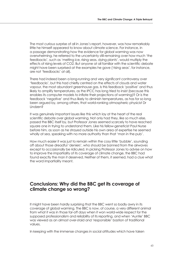The most curious surprise of all in Jones's report, however, was how remarkably little he himself appeared to know about climate science. For instance, in a passage demonstrating how the evidence for global warming was now overwhelming, he referred to the uncertainty still remaining over how much 'the feedbacks', such as 'melting ice, rising seas, dying plants', would multiply the effects of rising levels of CO2. But anyone at all familiar with the scientific debate might have been surprised at the examples he gave ('rising seas', for instance, are not 'feedbacks' at all).

There had indeed been a long-running and very significant controversy over 'feedbacks', but this had chiefly centred on the effects of clouds and water vapour, the most abundant greenhouse gas. Is this feedback 'positive' and thus likely to amplify temperatures, as the IPCC has long tried to insist (because this enables its computer models to inflate their projections of warming)? Or is the feedback 'negative' and thus likely to diminish temperatures, as has for so long been argued by, among others, that world-ranking atmospheric physicist Dr Lindzen?

It was genuinely important issues like this which lay at the heart of the real scientific debate over global warming. Not only had they, like so much else, passed the BBC itself by, but Professor Jones seemed scarcely to have reached square one in trying to understand them. Like his fellow-geneticist Paul Nurse before him, as soon as he strayed outside his own area of expertise he seemed wholly at sea, speaking with no more authority than that 'man in the pub'.

How much easier it was just to remain within the cosy little 'bubble', sounding off about those dreadful 'deniers', who should be banned from the airwaves except to occasionally be ridiculed. In picking Professor Jones to advise on how to improve the impartiality of its coverage of climate change, the BBC had found exactly the man it deserved. Neither of them, it seemed, had a clue what the word impartiality meant.

## **Conclusions: Why did the BBC get its coverage of climate change so wrong?**

It might have been hardly surprising that the BBC went so badly awry in its coverage of global warming. The BBC is now, of course, a very different animal from what it was in those far-off days when it won world-wide respect for the supposed professionalism and reliability of its reporting, and when 'Auntie' BBC was viewed as an almost over-staid and 'responsible' bastion of traditional values.

In keeping with the immense changes in social attitudes which have taken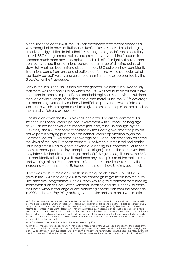place since the early 1960s, the BBC has developed over recent decades a very recognisable new 'institutional culture'. It likes to see itself as challenging, assertive, 'edgy'. It likes to think that it is 'setting the agenda'. And a corollary to this is BBC's programme makers and presenters have felt the freedom to become much more obviously opinionated. In itself this might not have been controversial, had those opinions represented a range of differing points of view. But what has been striking about the new BBC culture is how consistently its opinions come from only one direction, conforming with a particular set of 'politically correct' values and assumptions similar to those represented by the *Guardian* or the *Independent.*

Back in the 1980s, the BBC's then-director general, Alasdair Milne, liked to say that there was only one issue on which the BBC was proud to admit that it saw no reason to remain 'impartial', the apartheid regime in South Africa. But since then, on a whole range of political, social and moral issues, the BBC's coverage has become governed by a clearly identifiable 'party line', which dictates the subjects to which its programmes like to give prominence, opinions are aired on them and which are excluded.<sup>84</sup>

One issue on which the BBC's bias has long attracted critical comment, for instance, has been Britain's political involvement with 'Europe'. As long ago as1971, as has been well-documented (not least, curiously enough, by the BBC itself), the BBC was secretly enlisted by the Heath government to play an active part in swaying public opinion behind Britain's application to join the Common Market.<sup>85</sup> Ever since, its coverage of 'Europe' has essentially reflected the views of the 'pro-European consensus' between our main political parties. For a long time it liked to ignore anyone questioning this 'consensus', or to scorn them as merely part of a tiny 'xenophobic' fringe (in much the same way that they later ridiculed climate change 'deniers').<sup>86</sup> But just as significantly, the BBC has consistently failed to give its audience any clear picture of the real nature and workings of the 'European project', or of the serious issues raised by the increasingly central part the EU has come to play in how Britain is governed.

Never was this bias more obvious than in the quite obsessive support the BBC gave in the 1990s and early 2000s to the campaign to get Britain into the euro. Day after day, programmes such as *Today* would give a platform for its leading spokesmen such as Chris Patten, Michael Heseltine and Neil Kinnock, to make their case without challenge or any balancing contribution from the other side. In 2000, in the *Sunday Telegraph*, I gave chapter and verse on a whole series

<sup>84</sup> So familiar have we become with this aspect of the BBC that it is a salutary shock to be introduced to the very different ethos prevailing in American radio, where talk shows in particular are free to be either 'liberal' or 'conservative'. Many times as I have enjoyed energetic discussions for up to an hour with intelligent, highly opinionated but wellinformed presenters on popular US talk shows, I have thought (and even observed on air) that 'back in Britain a radio discussion like this on the BBC would be quite unthinkable. It would simply never be allowed'. But other US stations feature 'liberal' talk shows and presenters which conform to values and attitudes reminiscent of those represented in Britain by the BBC. The difference between the two countries in this respect is that one permits free speech (or at least a choice of prejudices), the other does not.

<sup>85</sup> BBC Radio Four, Document: A Letter to the Times, 3 February 2000.

<sup>86</sup> On one of the very rare occasions when I have been interviewed by the BBC, it was alongside the then-head of the European Commission in London, who had published a pamphlet attacking articles I had written on the damaging effect of EU directives on British businesses. After giving him a sympathetic few minutes to put his case, the interviewer's first question to me was 'Christopher Booker, at what point does coverage like yours become just xenophobic and evil?'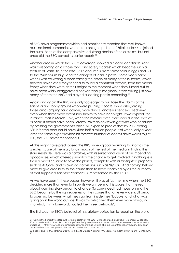of BBC news programmes which had prominently reported that well-known multi-national companies were threatening to pull out of Britain unless she joined the euro. Each of the companies issued strong denials of these claims, but not once did the BBC correct its earlier reports.87

Another area in which the BBC's coverage showed a clearly identifiable slant was its reporting on all those food and safety 'scares' which became such a feature of British life in the late 1980s and 1990s, from salmonella in eggs and BSE to the 'Millennium bug' and the dangers of lead in petrol. Some years back, when I was co-writing a book tracing the history of many of these scares, which showed how closely they tended to follow a consistent pattern, from the media frenzy when they were at their height to the moment when they turned out to have been wildly exaggerated or even wholly imaginary, it was striking just how many of them the BBC had played a leading part in promoting.<sup>88</sup>

Again and again the BBC was only too eager to publicise the claims of the scientists and lobby groups who were pushing a scare, while disregarding those critics arguing for a calmer, more dispassionately science-based view, even when these were eventually shown to have been right. It was typical, for instance, that in March 1996, when the hysteria over 'mad cow disease' was at its peak, it should have been Jeremy Paxman on *Newsnight* who won headlines by pressing the government's chief BSE expert to predict that by 2005 eating BSE-infected beef could have killed half a million people. Yet when, only a year later, the same expert revised his forecast number of deaths downwards to just 100, the BBC never mentioned it.

All this might have predisposed the BBC, when global warming took off as the greatest scare of them all, to join much of the rest of the media in finding this story irresistible. Here was a narrative, with its sensational vision of an impending apocalypse, which offered journalists the chance to get involved in nothing less than a moral crusade to save the planet, complete with its far-sighted prophets, such as Al Gore, and its own cast of villains, such as 'Big Oil'. And nothing helped more to give credibility to the cause than to have it backed by all the authority of that supposed scientific 'consensus' represented by the IPCC.

As we have seen in these pages, however, it was at just the time when the BBC decided more than ever to throw its weight behind this cause that the real global warming story began to change. So convinced had those running the BBC become by the righteousness of their cause that an ever wider gulf began to open up between what they saw from inside their 'bubble' and what was going on in the world outside. It was this which led them ever more obviously into what, in my foreword, I called the three 'betrayals'.

The first was the BBC's betrayal of its statutory obligation to report on the world

<sup>87 &#</sup>x27;Sorry is the hardest word for euro-loving reporters at the BBC', Christopher Booker, *Sunday Telegraph,* 20 January 2000. For a discussion of BBC bias on 'Europe' see *Guilty Men* by Peter Oborne and Frances Weaver, Centre for Policy Studies, 2011, http://www.cps.org.uk/publications/reports/q/id-8/; and also *The Great Deception: Can the European Union Survive?* by Christopher Booker and Richard North, Continuum, 2005.

<sup>88</sup> Booker and North, *Scared To Death: From BSE to Global Warming, Why Scares Are Costing Us The Earth*, Continuum. 2007.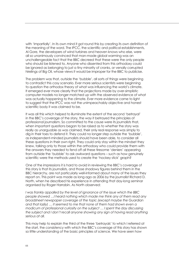with 'impartially'. In its own mind it got round this by creating its own definition of the meaning of the word. The IPCC, the scientific and political establishments, Al Gore, the developers of wind turbines and heaven knows who else, were all so unanimously convinced that man-made global warming was an unchallengeable fact that the BBC decreed that these were the only people who should be listened to. Anyone who dissented from this orthodoxy could be ignored as belonging to just a tiny minority of cranks, or venally corrupted hirelings of Big Oil, whose views it would be improper for the BBC to publicise.

The problem was that, outside the 'bubble', all sorts of things were beginning to contradict this cosy scenario. Ever more serious scientists were beginning to question the orthodox theory of what was influencing the world's climate. It emerged ever more clearly that the projections made by over-simplistic computer models no longer matched up with the observed evidence of what was actually happening to the climate. Ever more evidence came to light to suggest that the IPCC was not the unimpeachably objective and honest scientific body it was claimed to be.

It was all this which helped to illuminate the extent of the second 'betrayal' in the BBC's coverage of the story, the way it betrayed the principles of professional journalism. So committed to the cause were its journalists that, when important questions began to be raised as to whether the story was really as unarguable as was claimed, their only real response was simply to dig in their toes to defend it. They could no longer step outside the 'bubble', as independent-minded journalists should have been able, to consider all these questions in their own right. They could only stay within the mindset they knew, talking only to those within the orthodoxy who could provide them with the answers they needed to fend off all these tiresome 'deniers' appearing from outside the 'bubble' to ask awkward questions – such as how genuinely scientific were the methods used to create the 'hockey stick' graph?

One of the impressions it is hard to avoid in reviewing the BBC's coverage of this story is that its journalists, and those shadowy figures behind them in the BBC hierarchy, are not particularly well-informed about many of the issues they report on. This point was made as long ago as 2006 by the journalist Richard D. North, when he described his experience in attending that day-long seminar organised by Roger Harrabin. As North observed:

*I was frankly appalled by the level of ignorance of the issue which the BBC people showed …I heard nothing which made me think any of them read any broadsheet newspaper coverage of the topic (except maybe the Guardian and that lazily) … it seemed to me that none of them had shown even a modicum of professional curiosity on the subject … I spent the day discussing the subject and I don't recall anyone showing any sign of having read anything serious at all.* 

This may help to explain the third of the three 'betrayals' to which I referred at the start, the consistency with which the BBC's coverage of this story has shown so little understanding of the basic principles of science. We have seen how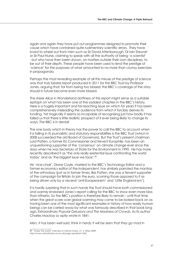again and again they have put out programmes designed to promote their cause which have contained quite rudimentary scientific errors. They have loved to wheel out front men such as Sir David Attenborough, Dr Iain Stewart or Sir Paul Nurse, claiming to speak with all the authority of being 'a scientist' - but who have then been shown, on matters outside their own disciplines, to be out of their depth. These people have been used to lend the prestige of 'science' for the purposes of what amounted to no more than clumsy exercises in propaganda.

Perhaps the most revealing example of all this misuse of the prestige of science was that truly bizarre report produced in 2011 for the BBC Trust by Professor Jones, arguing that, far from being too biased, the BBC's coverage of the story should in future become even more biased.

The sheer Alice in Wonderland dottiness of this report might serve as a suitable epitaph on what has been one of the saddest chapters in the BBC's history. Here is a hugely important and far-reaching issue on which for years it has been comprehensively misleading the audience from which it forcibly derives its funding. Yet tragically it seems so incapable of recognising just how badly it has failed us that there is little realistic prospect of it ever being likely to change its ways. The BBC is in denial!

The one body which in theory has the power to call the BBC to account when it is failing in its journalistic and statutory responsibilities is the BBC Trust (which in 2008 succeeded the old Board of Governors). But the Trust's present chairman Lord Patten, a former EU Commissioner and fervent Europhile, has been an unquestioning supporter of the 'consensus' on climate change ever since the days when he was Secretary of State for the Environment in 1990. He has more recently described it as 'the only really existential issue confronting the world today' and as 'the biggest issue we face'.89

His 'vice-chair', Diane Coyle, married to the BBC's Technology Editor and a former economics editor of the *Independent*, has similarly parroted the mantras of the orthodoxy (just as in former times, like Patten, she was a fervent supporter of the campaign for Britain to join the euro, scorning those opposed to it as being driven only by a visceral 'anti-Europeanism' and 'Little England-ism').

It is hardly surprising that in such hands the Trust should have both commissioned and warmly endorsed Jones's report calling for the BBC to show even more bias than hitherto. So the BBC's position is therefore likely to remain - until that time when the great scare over global warming may come to be looked back on as having been one of the most significant examples in history of how easily human beings can be carried away by what was famously described in that book long ago, *Extraordinary Popular Delusions and The Madness of Crowds*. As its author Charles Mackay so aptly wrote in 1841:

*Men, it has been well said, think in herds; it will be seen that they go mad in* 

<sup>89 &#</sup>x27;Today the world', interview in *Oxford Today*, 21, 2, Hilary 2009, http://www.oxfordtoday.ox.ac.uk/page.aspx?pid=1042.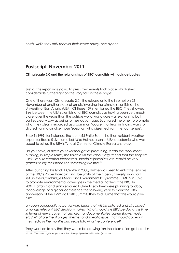*herds, while they only recover their senses slowly, one by one.*

# **Postscript: November 2011**

**Climategate 2.0 and the relationships of BBC journalists with outside bodies**

Just as this report was going to press, two events took place which shed considerable further light on the story told in these pages.

One of these was 'Climategate 2.0', the release onto the internet on 22 November of another stack of emails involving the climate scientists at the University of East Anglia (UEA). Of these 157 mentioned the BBC. They showed links between the UEA scientists and BBC journalists as having been very much closer over the years than the outside world was aware – a relationship both parties clearly saw as being to their advantage. Each used the other to promote what they clearly regarded as a common 'cause', not least in finding ways to discredit or marginalise those 'sceptics' who dissented from the 'consensus'.

Back in 1999, for instance, the journalist Philip Eden, the then resident weather expert for Radio 5 Live, emailed Mike Hulme, a senior UEA academic who was about to set up the UEA's Tyndall Centre for Climate Research, to ask:

*Do you have, or have you ever thought of producing, a rebuttal document outlining, in simple terms, the fallacies in the various arguments that the sceptics use? I'm sure weather forecasters, specialist journalists, etc, would be very grateful to lay their hands on something like that.90*

After launching his Tyndall Centre in 2000, Hulme was keen to enlist the services of the BBC's Roger Harrabin and Joe Smith of the Open University, who had set up their Cambridge Media and Environment Programme (CMEP) in 1996 to promote environmental coverage in the media, not least the BBC. In 2001, Harrabin and Smith emailed Hulme to say they were planning to lobby for coverage of a global conference the following year to mark the 10th anniversary of the 1992 Rio Earth Summit. They told Hulme that this would give him:

*an open opportunity to put forward ideas that will be collated and circulated amongst relevant BBC decision-makers. What should the BBC be doing this time in terms of news, current affairs, drama, documentaries, game shows, music etc? What are the strongest themes and specific issues that should appear in the media in the months and years following the conference?*

They went on to say that they would be drawing 'on the information gathered in 90 http://foia2011.org/index.php?search=hulme+philip+eden+1999&id=7 (email 4689)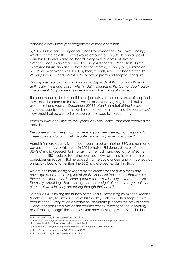planning a new three-year programme of media seminars'.91

By 2002, Hulme had arranged for Tyndall to provide the CMEP with funding, which over the next three years would amount to £15,000. He also appointed Harrabin to Tyndall's advisory board, along with a representative of Greenpeace.92 In an email on 25 February 2002 headed 'Sceptics', Hulme expressed his irritation at a debate on that morning's *Today* programme on BBC Radio 4 between Sir John Houghton, recently retired as head of the IPCC's Working Group 1, and Professor Philip Stott, a prominent sceptic. It began:

*Did anyone hear Stott v. Houghton on Today Radio 4 this morning? Woeful stuff, really. This is one reason why Tyndall is sponsoring the Cambridge Media/ Environment Programme to starve this kind of reporting at source.*<sup>93</sup>

The annoyance of both scientists and journalists at the persistence of sceptical views and the exposure the BBC was still occasionally giving them is quite evident in these years. In December 2003 Stefan Rahmstorf of the Potsdam Institute suggested that the scientists at the heart of promoting the 'consensus' view should set up a website to counter the 'sceptics'' arguments,

When this was discussed by the Tyndall Advisory Board, Rahmstorf received the reply that:

*the consensus was very much in line with your views, except for the journalist present (Roger Harrabin), who wanted something more pro-active.94*

Harrabin's more aggressive attitude was shared by another BBC environmental correspondent, Alex Kirby, who in 2004 emailed Phil Jones, director of the UEA's Climatic Research Unit, to say that he had managed to 'spike' some item on the BBC website featuring sceptical views as being 'pure stream-ofconsciousness rubbish'. But he added that he could understand why Jones was unhappy about another item the BBC had allowed, explaining that:

*we are constantly being savaged by the loonies for not giving them any coverage at all, and, being the objective impartial (ho ho) BBC that we are,*  there is an expectation in some quarters that we will every now and then let *them say something. I hope though that the weight of our coverage makes it clear that we think they are talking through their hats.95*

Later in 2004, following the launch of the Real Climate blog by Michael Mann's 'Hockey Team', to answer critics of his 'hockey stick' and other sceptics with 'real science' – very much a version of Rahmstorf's proposal the previous year - Jones congratulated him on this counter-attack, referring to the 'appalling drivel' and 'garbage' the sceptics were now coming up with. When he had

<sup>91</sup> http://foia2011.org/index.php?id=3707. (email 3757)

<sup>92</sup> Check out the Wayback Machine on http://www.archive.org/web/web.php, then search for http://www.tyndall.ac.uk/general/advisory\_board.shtml.

<sup>93</sup> http://foia2011.org/index.php?search=hulme+stott+houghton&id=4.(email 2496)

<sup>94</sup> http://foia2011.org/index.php?id=2924 (email 2974)

<sup>95</sup> http://foia2011.org/index.php?id=4844. (email 4894)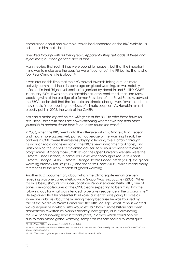complained about one example, which had appeared on the BBC website, its editor told him that it had:

*'sneaked through without being read. Apparently they get loads of these and reject most, but then get accused of bias.*

Mann replied that such things were bound to happen, but that the important thing was to make sure the sceptics were 'loosing [sic] the PR battle. That's what (our Real Climate) site is about'.96

It was around this time that the BBC moved towards taking a much more actively committed line in its coverage on global warming, as was notably reflected in that 'high-level seminar' organised by Harrabin and Smith's CMEP in January 2006. It was here, as Harrabin has lately confirmed, that Lord May, speaking with all the prestige of a former President of the Royal Society, advised the BBC's senior staff that the 'debate on climate change was "over"' and that they should 'stop reporting the views of climate sceptics'. As Harrabin himself proudly put it in 2006, the work of the CMEP:

*has had a major impact on the willingness of the BBC to raise these issues for discussion, Joe Smith and I are now wondering whether we can help other journalists to perform similar tasks in countries round the world.97*

In 2006, when the BBC went onto the offensive with its *Climate Chaos* season and much more aggressively partisan coverage of the warming threat, the partners in CMEP were themselves playing a leading role: Harrabin through his work on radio and television as the BBC's new Environmental Analyst, and Smith behind the scenes as 'scientific adviser' to various prominent television programmes. Among those Smith lists on the Open University website were the *Climate Chaos* season, in particular David Attenborough's *The Truth About Climate Change* (2006), *Climate Change: Britain Under Threat* (2007), the global warming drama *Burn Up* (2008); and the series *Coast* (2005), which made many references to the likely impacts of global warming.

Another BBC documentary about which the Climategate emails are very revealing was one called *Meltdown: A Global Warming Journey* (2006). When this was being shot, its producer Jonathan Renouf emailed Keith Briffa, one of Jones's senior colleagues at the CRU, clearly expecting to be filming him the following day for what was intended to be a key sequence in the programme. $\frac{98}{5}$ He explained that his presenter Paul Rose, a scientist, was going to pose as someone dubious about the warming theory because he was troubled by talk of the Medieval Warm Period and the Little Ice Age. What Renouf wanted was a sequence in which Briffa would explain how climate history had been dramatically rewritten by Mann's 'hockey stick' graph, all but eliminating the MWP and showing how in recent years, in a way which could only be due to man-made global warming, temperatures had soared to levels quite

97 Email quoted in Montford and Newbery, *Submission to the Review of Impartiality and Accuracy of the BBC's Coverage of Science*, op.cit.

98 http://foia2011.org/index.php?search=renouf+briffa&id=7 (email 1683)

<sup>96</sup> http://foia2011.org/index.php?id=1435 (email 1485).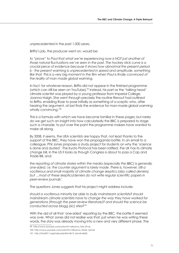unprecedented in the past 1,000 years.

Briffa's job, the producer went on, would be:

*to "prove" to Paul that what we're experiencing now is NOT just another of those natural fluctuations we've seen in the past. The hockey stick curve is a crucial piece of evidence because it shows how abnormal the present period*  is - the present warming is unprecedented in speed and amplitude, something like that. This is a very big moment in the film when Paul is finally convinced of *the reality of man made global warming.*

In fact, for whatever reason, Briffa did not appear in the finished programme (which can still be seen on YouTube).<sup>99</sup> Instead, his part as the 'talking head' climate scientist was played by a young professor from Imperial College, Joanna Haigh. She went through precisely the routine Renouf had outlined to Briffa, enabling Rose to pose initially as something of a sceptic who, after hearing the argument, at last finds the evidence for man-made global warming wholly convincing.<sup>100</sup>

This is a formula with which we have become familiar in these pages; but rarely do we get such an insight into how calculatedly the BBC is prepared to stage such a charade, to put over the point the programme makers have wanted to make all along.

By 2008, it seems, the UEA scientists are happy that, not least thanks to the support of the BBC, they have won the propaganda battle. In an email to a colleague, Phil Jones proposes a study project for students on why the 'science is done and dusted'. The Kyoto Protocol has been ratified, the UK has its climate change bill, in the US it looks as though Congress is about to pass a Cap and Trade Bill, and:

t*he reporting of climate stories within the media (especially the BBC) is generally one-sided, i.e. the counter argument is rarely made. There is, however, still a vociferous and small majority of climate change skeptics (also called deniers), but …most of these skeptics/deniers do not write regular scientific papers in peer-review journals'.* 

The questions Jones suggests that his project might address include:

*should a vociferous minority be able to bully mainstream scientists? should mainstream climate scientists have to change the way they have worked for generations (through the peer-review literature)? and should the science be conducted across blogg (sic) sites?101*

With the aid of all that 'one-sided' reporting by the BBC, the battle it seemed was over. What Jones did not realise was that, just when he was writing these words, the story was already moving into a new and very different phase. The

<sup>99</sup> http://www.youtube.com/watch?v=dMuhvo\_TUIo (Pt.4).

<sup>100</sup> http://www.youtube.com/watch?v=dMuhvo\_TUIo&. (email

<sup>101</sup> http://foia2011.org/index.php?id=4613 (email 4663)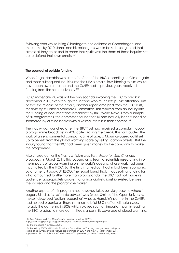following year would bring Climategate, the collapse of Copenhagen, and much else. By 2010, Jones and his colleagues would be so beleaguered that almost all they could find to cheer their spirits was the sham of those inquiries set up to defend their own emails.<sup>102</sup>

### **The scandal of outside funding**

When Roger Harrabin was at the forefront of the BBC's reporting on Climategate and those subsequent inquiries into the UEA's emails, few listening to him would have been aware that he and the CMEP had in previous years received funding from the same university.<sup>103</sup>

But Climategate 2.0 was not the only scandal involving the BBC to break in November 2011, even though the second won much less public attention. Just before the release of the emails, another report emerged from the BBC Trust, this time by its Editorial Standards Committee. This resulted from an inquiry into the funding of documentaries broadcast by BBC World News. From a sample of 60 programmes, the committee found that 15 had actually been funded or sponsored by outside bodies with a vested interest in their content.<sup>104</sup>

The inquiry was launched after the BBC Trust had received a complaint about a programme broadcast in 2009 called *Taking the Credit*. This had lauded the work of an environmental company, Envirotrade, a Mauritius-based outfit set up to benefit from the global warming scare by selling 'carbon offsets'. But the inquiry found that the BBC had been given money by the company to make the programme.

Also singled out for the Trust's criticism was *Earth Reporter: Sea Change*, broadcast in March 2011. This focused on a team of scientists researching into the impacts of global warming on the world's oceans, whose work had been much cited by the IPCC. But the film, it turned out, had in fact been sponsored by another UN body, UNESCO. The report found that, in accepting funding for what amounted to little more than propaganda, the BBC had not made its audience 'appropriately aware that a financial relationship existed between the sponsor and the programme maker'.

Another aspect of this programme, however, takes our story back to where it began. Billed as its 'scientific adviser' was Dr Joe Smith of the Open University, the self-described 'action researcher' who, as Harrabin's partner in the CMEP, had helped organise all those seminars to brief BBC staff on climate issues, notably the gathering in 2006 which played such an important part in leading the BBC to adopt a more committed stance in its coverage of global warming.

<sup>102</sup> See A. Montford. *The Climategate Inquiries,* report for GWPF,

http://www.thegwpf.org/images/stories/gwpf-reports/Climategate-Inquiries.pdf.

<sup>103</sup> Montford and Newbery, op.cit.

<sup>104</sup> Report by BBC Trust Editorial Standards Committee on 'Funding arrangements and sponsorship of documentary and feature programmes on BBC World News', 15 November 2011, http://www.bbc.co.uk/bbctrust/assets/files/pdf/appeals/esc\_bulletins/2011/world\_news.pdf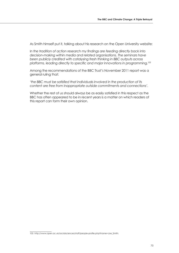As Smith himself put it, talking about his research on the Open University website:

In the tradition of action research my findings are feeding directly back into *decision-making within media and related organisations. The seminars have been publicly credited with catalysing fresh thinking in BBC outputs across platforms, leading directly to specific and major innovations in programming.<sup>105</sup>*

Among the recommendations of the BBC Trust's November 2011 report was a general ruling that:

*'the BBC must be satisfied that individuals involved in the production of its content are free from inappropriate outside commitments and connections'.*

Whether the rest of us should always be as easily satisfied in this respect as the BBC has often appeared to be in recent years is a matter on which readers of this report can form their own opinion.

<sup>105</sup> http://www.open.ac.uk/socialsciences/staff/people-profile.php?name=Joe\_Smith.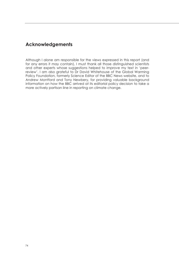## **Acknowledgements**

Although I alone am responsible for the views expressed in this report (and for any errors it may contain), I must thank all those distinguished scientists and other experts whose suggestions helped to improve my text in 'peerreview'. I am also grateful to Dr David Whitehouse of the Global Warming Policy Foundation, formerly Science Editor of the BBC News website, and to Andrew Montford and Tony Newbery, for providing valuable background information on how the BBC arrived at its editorial policy decision to take a more actively partisan line in reporting on climate change.